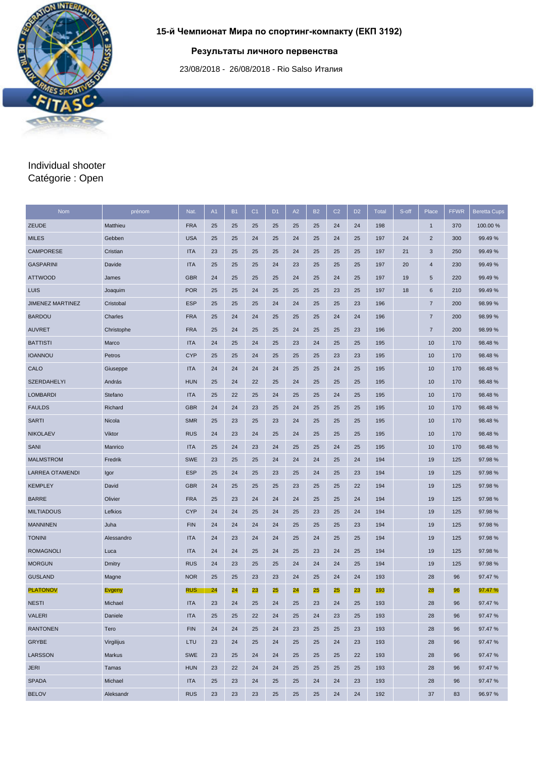## **Результаты личного первенства**

23/08/2018 - 26/08/2018 - Rio Salso Италия

## Individual shooter Catégorie : Open

**IRMES SPORT** 

틽

۰

| <b>Nom</b>              | prénom     | Nat.       | A1 | <b>B1</b> | C <sub>1</sub> | D <sub>1</sub> | A2 | <b>B2</b> | C <sub>2</sub> | D <sub>2</sub> | <b>Total</b> | S-off | Place          | <b>FFWR</b> | <b>Beretta Cups</b> |
|-------------------------|------------|------------|----|-----------|----------------|----------------|----|-----------|----------------|----------------|--------------|-------|----------------|-------------|---------------------|
| <b>ZEUDE</b>            | Matthieu   | <b>FRA</b> | 25 | 25        | 25             | 25             | 25 | 25        | 24             | 24             | 198          |       | $\mathbf{1}$   | 370         | 100.00 %            |
| <b>MILES</b>            | Gebben     | <b>USA</b> | 25 | 25        | 24             | 25             | 24 | 25        | 24             | 25             | 197          | 24    | $\sqrt{2}$     | 300         | 99.49%              |
| <b>CAMPORESE</b>        | Cristian   | <b>ITA</b> | 23 | 25        | 25             | 25             | 24 | 25        | 25             | 25             | 197          | 21    | 3              | 250         | 99.49%              |
| <b>GASPARINI</b>        | Davide     | <b>ITA</b> | 25 | 25        | 25             | 24             | 23 | 25        | 25             | 25             | 197          | 20    | 4              | 230         | 99.49%              |
| <b>ATTWOOD</b>          | James      | <b>GBR</b> | 24 | 25        | 25             | 25             | 24 | 25        | 24             | 25             | 197          | 19    | 5              | 220         | 99.49%              |
| LUIS                    | Joaquim    | <b>POR</b> | 25 | 25        | 24             | 25             | 25 | 25        | 23             | 25             | 197          | 18    | 6              | 210         | 99.49 %             |
| <b>JIMENEZ MARTINEZ</b> | Cristobal  | <b>ESP</b> | 25 | 25        | 25             | 24             | 24 | 25        | 25             | 23             | 196          |       | $\overline{7}$ | 200         | 98.99%              |
| <b>BARDOU</b>           | Charles    | <b>FRA</b> | 25 | 24        | 24             | 25             | 25 | 25        | 24             | 24             | 196          |       | $\overline{7}$ | 200         | 98.99%              |
| <b>AUVRET</b>           | Christophe | <b>FRA</b> | 25 | 24        | 25             | 25             | 24 | 25        | 25             | 23             | 196          |       | $\overline{7}$ | 200         | 98.99 %             |
| <b>BATTISTI</b>         | Marco      | <b>ITA</b> | 24 | 25        | 24             | 25             | 23 | 24        | 25             | 25             | 195          |       | 10             | 170         | 98.48%              |
| <b>IOANNOU</b>          | Petros     | <b>CYP</b> | 25 | 25        | 24             | 25             | 25 | 25        | 23             | 23             | 195          |       | 10             | 170         | 98.48%              |
| CALO                    | Giuseppe   | <b>ITA</b> | 24 | 24        | 24             | 24             | 25 | 25        | 24             | 25             | 195          |       | 10             | 170         | 98.48%              |
| <b>SZERDAHELYI</b>      | András     | <b>HUN</b> | 25 | 24        | 22             | 25             | 24 | 25        | 25             | 25             | 195          |       | 10             | 170         | 98.48%              |
| <b>LOMBARDI</b>         | Stefano    | <b>ITA</b> | 25 | 22        | 25             | 24             | 25 | 25        | 24             | 25             | 195          |       | 10             | 170         | 98.48%              |
| <b>FAULDS</b>           | Richard    | <b>GBR</b> | 24 | 24        | 23             | 25             | 24 | 25        | 25             | 25             | 195          |       | 10             | 170         | 98.48%              |
| <b>SARTI</b>            | Nicola     | <b>SMR</b> | 25 | 23        | 25             | 23             | 24 | 25        | 25             | 25             | 195          |       | 10             | 170         | 98.48%              |
| <b>NIKOLAEV</b>         | Viktor     | <b>RUS</b> | 24 | 23        | 24             | 25             | 24 | 25        | 25             | 25             | 195          |       | 10             | 170         | 98.48%              |
| SANI                    | Manrico    | <b>ITA</b> | 25 | 24        | 23             | 24             | 25 | 25        | 24             | 25             | 195          |       | 10             | 170         | 98.48%              |
| <b>MALMSTROM</b>        | Fredrik    | <b>SWE</b> | 23 | 25        | 25             | 24             | 24 | 24        | 25             | 24             | 194          |       | 19             | 125         | 97.98%              |
| <b>LARREA OTAMENDI</b>  | Igor       | <b>ESP</b> | 25 | 24        | 25             | 23             | 25 | 24        | 25             | 23             | 194          |       | 19             | 125         | 97.98 %             |
| <b>KEMPLEY</b>          | David      | <b>GBR</b> | 24 | 25        | 25             | 25             | 23 | 25        | 25             | 22             | 194          |       | 19             | 125         | 97.98 %             |
| <b>BARRE</b>            | Olivier    | <b>FRA</b> | 25 | 23        | 24             | 24             | 24 | 25        | 25             | 24             | 194          |       | 19             | 125         | 97.98%              |
| <b>MILTIADOUS</b>       | Lefkios    | <b>CYP</b> | 24 | 24        | 25             | 24             | 25 | 23        | 25             | 24             | 194          |       | 19             | 125         | 97.98%              |
| <b>MANNINEN</b>         | Juha       | <b>FIN</b> | 24 | 24        | 24             | 24             | 25 | 25        | 25             | 23             | 194          |       | 19             | 125         | 97.98%              |
| <b>TONINI</b>           | Alessandro | <b>ITA</b> | 24 | 23        | 24             | 24             | 25 | 24        | 25             | 25             | 194          |       | 19             | 125         | 97.98%              |
| <b>ROMAGNOLI</b>        | Luca       | <b>ITA</b> | 24 | 24        | 25             | 24             | 25 | 23        | 24             | 25             | 194          |       | 19             | 125         | 97.98 %             |
| <b>MORGUN</b>           | Dmitry     | <b>RUS</b> | 24 | 23        | 25             | 25             | 24 | 24        | 24             | 25             | 194          |       | 19             | 125         | 97.98%              |
| <b>GUSLAND</b>          | Magne      | <b>NOR</b> | 25 | 25        | 23             | 23             | 24 | 25        | 24             | 24             | 193          |       | 28             | 96          | 97.47%              |
| <b>PLATONOV</b>         | Evgeny     | <b>RUS</b> | 24 | 24        | 23             | 25             | 24 | 25        | 25             | 23             | 193          |       | 28             | 96          | 97.47 %             |
| <b>NESTI</b>            | Michael    | <b>ITA</b> | 23 | 24        | 25             | 24             | 25 | 23        | 24             | 25             | 193          |       | 28             | 96          | 97.47%              |
| <b>VALERI</b>           | Daniele    | <b>ITA</b> | 25 | 25        | 22             | 24             | 25 | 24        | 23             | 25             | 193          |       | 28             | 96          | 97.47%              |
| <b>RANTONEN</b>         | Tero       | <b>FIN</b> | 24 | 24        | 25             | 24             | 23 | 25        | 25             | 23             | 193          |       | 28             | 96          | 97.47%              |
| GRYBE                   | Virgilijus | LTU        | 23 | 24        | 25             | 24             | 25 | 25        | 24             | 23             | 193          |       | 28             | 96          | 97.47%              |
| LARSSON                 | Markus     | <b>SWE</b> | 23 | 25        | 24             | 24             | 25 | 25        | 25             | 22             | 193          |       | 28             | 96          | 97.47%              |
| <b>JERI</b>             | Tamas      | <b>HUN</b> | 23 | 22        | 24             | 24             | 25 | 25        | 25             | 25             | 193          |       | 28             | 96          | 97.47%              |
| <b>SPADA</b>            | Michael    | <b>ITA</b> | 25 | 23        | 24             | 25             | 25 | 24        | 24             | 23             | 193          |       | 28             | 96          | 97.47%              |
| <b>BELOV</b>            | Aleksandr  | <b>RUS</b> | 23 | 23        | 23             | 25             | 25 | 25        | 24             | 24             | 192          |       | 37             | 83          | 96.97 %             |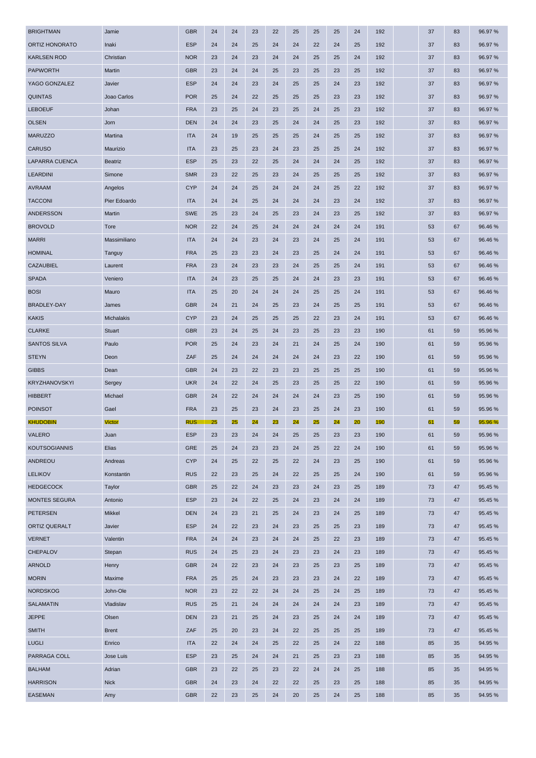| <b>UNTIL HUNUNATU</b> | mani              | EUT        | 24     | 24     | ZJ | 24 | 24 | ZZ | 24 | ZJ | 19Z | স  | თ  | 90.91 70 |
|-----------------------|-------------------|------------|--------|--------|----|----|----|----|----|----|-----|----|----|----------|
| <b>KARLSEN ROD</b>    | Christian         | <b>NOR</b> | 23     | 24     | 23 | 24 | 24 | 25 | 25 | 24 | 192 | 37 | 83 | 96.97%   |
| <b>PAPWORTH</b>       | Martin            | <b>GBR</b> | 23     | 24     | 24 | 25 | 23 | 25 | 23 | 25 | 192 | 37 | 83 | 96.97%   |
| YAGO GONZALEZ         | Javier            | <b>ESP</b> | 24     | 24     | 23 | 24 | 25 | 25 | 24 | 23 | 192 | 37 | 83 | 96.97%   |
| <b>QUINTAS</b>        | Joao Carlos       | <b>POR</b> | 25     | 24     | 22 | 25 | 25 | 25 | 23 | 23 | 192 | 37 | 83 | 96.97%   |
| <b>LEBOEUF</b>        | Johan             | <b>FRA</b> | 23     | 25     | 24 | 23 | 25 | 24 | 25 | 23 | 192 | 37 | 83 | 96.97 %  |
| <b>OLSEN</b>          | Jorn              | <b>DEN</b> | 24     | 24     | 23 | 25 | 24 | 24 | 25 | 23 | 192 | 37 | 83 | 96.97 %  |
| <b>MARUZZO</b>        | Martina           | <b>ITA</b> | 24     | 19     | 25 | 25 | 25 | 24 | 25 | 25 | 192 | 37 | 83 | 96.97%   |
| <b>CARUSO</b>         | Maurizio          | <b>ITA</b> | 23     | 25     | 23 | 24 | 23 | 25 | 25 | 24 | 192 | 37 | 83 | 96.97%   |
| LAPARRA CUENCA        | <b>Beatriz</b>    | <b>ESP</b> | 25     | 23     | 22 | 25 | 24 | 24 | 24 | 25 | 192 | 37 | 83 | 96.97 %  |
| <b>LEARDINI</b>       | Simone            | <b>SMR</b> | 23     | 22     | 25 | 23 | 24 | 25 | 25 | 25 | 192 | 37 | 83 | 96.97 %  |
| AVRAAM                | Angelos           | <b>CYP</b> | 24     | 24     | 25 | 24 | 24 | 24 | 25 | 22 | 192 | 37 | 83 | 96.97 %  |
| <b>TACCONI</b>        | Pier Edoardo      | <b>ITA</b> | 24     | 24     | 25 | 24 | 24 | 24 | 23 | 24 | 192 | 37 | 83 | 96.97%   |
| ANDERSSON             | Martin            | <b>SWE</b> | 25     | 23     | 24 | 25 | 23 | 24 | 23 | 25 | 192 | 37 | 83 | 96.97 %  |
| <b>BROVOLD</b>        | Tore              | <b>NOR</b> | 22     | 24     | 25 | 24 | 24 | 24 | 24 | 24 | 191 | 53 | 67 | 96.46%   |
| <b>MARRI</b>          | Massimiliano      | <b>ITA</b> | 24     | 24     | 23 | 24 | 23 | 24 | 25 | 24 | 191 | 53 | 67 | 96.46%   |
| <b>HOMINAL</b>        | Tanguy            | <b>FRA</b> | 25     | 23     | 23 | 24 | 23 | 25 | 24 | 24 | 191 | 53 | 67 | 96.46%   |
| CAZAUBIEL             | Laurent           | <b>FRA</b> | 23     | 24     | 23 | 23 | 24 | 25 | 25 | 24 | 191 | 53 | 67 | 96.46%   |
| <b>SPADA</b>          | Veniero           | <b>ITA</b> | 24     | 23     | 25 | 25 | 24 | 24 | 23 | 23 | 191 | 53 | 67 | 96.46%   |
| <b>BOSI</b>           | Mauro             | <b>ITA</b> | 25     | 20     | 24 | 24 | 24 | 25 | 25 | 24 | 191 | 53 | 67 | 96.46%   |
| <b>BRADLEY-DAY</b>    | James             | <b>GBR</b> | 24     | 21     | 24 | 25 | 23 | 24 | 25 | 25 | 191 | 53 | 67 | 96.46%   |
| <b>KAKIS</b>          | <b>Michalakis</b> | <b>CYP</b> | 23     | 24     | 25 | 25 | 25 | 22 | 23 | 24 | 191 | 53 | 67 | 96.46%   |
| <b>CLARKE</b>         | Stuart            | <b>GBR</b> | 23     | 24     | 25 | 24 | 23 | 25 | 23 | 23 | 190 | 61 | 59 | 95.96 %  |
| <b>SANTOS SILVA</b>   | Paulo             | <b>POR</b> | 25     | 24     | 23 | 24 | 21 | 24 | 25 | 24 | 190 | 61 | 59 | 95.96 %  |
| <b>STEYN</b>          | Deon              | ZAF        | 25     | 24     | 24 | 24 | 24 | 24 | 23 | 22 | 190 | 61 | 59 | 95.96 %  |
| <b>GIBBS</b>          | Dean              | <b>GBR</b> | 24     | 23     | 22 | 23 | 23 | 25 | 25 | 25 | 190 | 61 | 59 | 95.96 %  |
| KRYZHANOVSKYI         | Sergey            | <b>UKR</b> | 24     | 22     | 24 | 25 | 23 | 25 | 25 | 22 | 190 | 61 | 59 | 95.96 %  |
| <b>HIBBERT</b>        | Michael           | <b>GBR</b> | 24     | 22     | 24 | 24 | 24 | 24 | 23 | 25 | 190 | 61 | 59 | 95.96 %  |
| <b>POINSOT</b>        | Gael              | <b>FRA</b> | 23     | 25     | 23 | 24 | 23 | 25 | 24 | 23 | 190 | 61 | 59 | 95.96 %  |
| <b>KHUDOBIN</b>       | <b>Victor</b>     | <b>RUS</b> | 25     | 25     | 24 | 23 | 24 | 25 | 24 | 20 | 190 | 61 | 59 | 95.96 %  |
| <b>VALERO</b>         | Juan              | <b>ESP</b> | 23     | 23     | 24 | 24 | 25 | 25 | 23 | 23 | 190 | 61 | 59 | 95.96 %  |
| KOUTSOGIANNIS         | Elias             | <b>GRE</b> | $25\,$ | $24\,$ | 23 | 23 | 24 | 25 | 22 | 24 | 190 | 61 | 59 | 95.96 %  |
| ANDREOU               | Andreas           | <b>CYP</b> | 24     | 25     | 22 | 25 | 22 | 24 | 23 | 25 | 190 | 61 | 59 | 95.96%   |
| <b>LELIKOV</b>        | Konstantin        | <b>RUS</b> | 22     | 23     | 25 | 24 | 22 | 25 | 25 | 24 | 190 | 61 | 59 | 95.96%   |
| <b>HEDGECOCK</b>      | Taylor            | <b>GBR</b> | 25     | 22     | 24 | 23 | 23 | 24 | 23 | 25 | 189 | 73 | 47 | 95.45 %  |
| <b>MONTES SEGURA</b>  | Antonio           | <b>ESP</b> | 23     | 24     | 22 | 25 | 24 | 23 | 24 | 24 | 189 | 73 | 47 | 95.45 %  |
| <b>PETERSEN</b>       | Mikkel            | DEN        | 24     | 23     | 21 | 25 | 24 | 23 | 24 | 25 | 189 | 73 | 47 | 95.45 %  |
| ORTIZ QUERALT         | Javier            | <b>ESP</b> | 24     | 22     | 23 | 24 | 23 | 25 | 25 | 23 | 189 | 73 | 47 | 95.45 %  |
| <b>VERNET</b>         | Valentin          | <b>FRA</b> | 24     | 24     | 23 | 24 | 24 | 25 | 22 | 23 | 189 | 73 | 47 | 95.45 %  |
| <b>CHEPALOV</b>       | Stepan            | <b>RUS</b> | 24     | 25     | 23 | 24 | 23 | 23 | 24 | 23 | 189 | 73 | 47 | 95.45%   |
| <b>ARNOLD</b>         | Henry             | <b>GBR</b> | 24     | 22     | 23 | 24 | 23 | 25 | 23 | 25 | 189 | 73 | 47 | 95.45 %  |
| <b>MORIN</b>          | Maxime            | <b>FRA</b> | 25     | 25     | 24 | 23 | 23 | 23 | 24 | 22 | 189 | 73 | 47 | 95.45 %  |
| <b>NORDSKOG</b>       | John-Ole          | <b>NOR</b> | 23     | 22     | 22 | 24 | 24 | 25 | 24 | 25 | 189 | 73 | 47 | 95.45 %  |
| <b>SALAMATIN</b>      | Vladislav         | <b>RUS</b> | 25     | 21     | 24 | 24 | 24 | 24 | 24 | 23 | 189 | 73 | 47 | 95.45 %  |
| <b>JEPPE</b>          | Olsen             | DEN        | 23     | 21     | 25 | 24 | 23 | 25 | 24 | 24 | 189 | 73 | 47 | 95.45 %  |
| <b>SMITH</b>          | <b>Brent</b>      | ZAF        | 25     | $20\,$ | 23 | 24 | 22 | 25 | 25 | 25 | 189 | 73 | 47 | 95.45 %  |
| <b>LUGLI</b>          | Enrico            | <b>ITA</b> | 22     | 24     | 24 | 25 | 22 | 25 | 24 | 22 | 188 | 85 | 35 | 94.95%   |
| PARRAGA COLL          | Jose Luis         | <b>ESP</b> | 23     | 25     | 24 | 24 | 21 | 25 | 23 | 23 | 188 | 85 | 35 | 94.95%   |
| <b>BALHAM</b>         | Adrian            | <b>GBR</b> | 23     | 22     | 25 | 23 | 22 | 24 | 24 | 25 | 188 | 85 | 35 | 94.95%   |
| <b>HARRISON</b>       | <b>Nick</b>       | <b>GBR</b> | 24     | 23     | 24 | 22 | 22 | 25 | 23 | 25 | 188 | 85 | 35 | 94.95%   |
| <b>EASEMAN</b>        | Amy               | <b>GBR</b> | 22     | 23     | 25 | 24 | 20 | 25 | 24 | 25 | 188 | 85 | 35 | 94.95%   |
|                       |                   |            |        |        |    |    |    |    |    |    |     |    |    |          |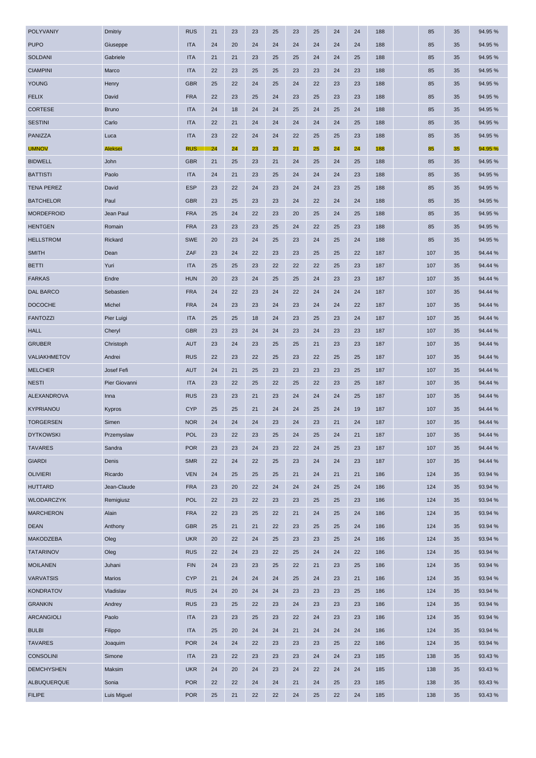| TUTU                | alasehhe       | пл         | 24 | zu | 24 | 24 | 24 | 24 | 24 | Z4 | τοσ | თ   | မ  | 94.JJ 70 |
|---------------------|----------------|------------|----|----|----|----|----|----|----|----|-----|-----|----|----------|
| SOLDANI             | Gabriele       | <b>ITA</b> | 21 | 21 | 23 | 25 | 25 | 24 | 24 | 25 | 188 | 85  | 35 | 94.95%   |
| <b>CIAMPINI</b>     | Marco          | <b>ITA</b> | 22 | 23 | 25 | 25 | 23 | 23 | 24 | 23 | 188 | 85  | 35 | 94.95%   |
| <b>YOUNG</b>        | Henry          | <b>GBR</b> | 25 | 22 | 24 | 25 | 24 | 22 | 23 | 23 | 188 | 85  | 35 | 94.95%   |
| <b>FELIX</b>        | David          | <b>FRA</b> | 22 | 23 | 25 | 24 | 23 | 25 | 23 | 23 | 188 | 85  | 35 | 94.95 %  |
| <b>CORTESE</b>      | <b>Bruno</b>   | <b>ITA</b> | 24 | 18 | 24 | 24 | 25 | 24 | 25 | 24 | 188 | 85  | 35 | 94.95%   |
| <b>SESTINI</b>      | Carlo          | <b>ITA</b> | 22 | 21 | 24 | 24 | 24 | 24 | 24 | 25 | 188 | 85  | 35 | 94.95%   |
| PANIZZA             | Luca           | <b>ITA</b> | 23 | 22 | 24 | 24 | 22 | 25 | 25 | 23 | 188 | 85  | 35 | 94.95%   |
| <b>UMNOV</b>        | <b>Aleksei</b> | <b>RUS</b> | 24 | 24 | 23 | 23 | 21 | 25 | 24 | 24 | 188 | 85  | 35 | 94.95 %  |
| <b>BIDWELL</b>      | John           | <b>GBR</b> | 21 | 25 | 23 | 21 | 24 | 25 | 24 | 25 | 188 | 85  | 35 | 94.95 %  |
| <b>BATTISTI</b>     | Paolo          | <b>ITA</b> | 24 | 21 | 23 | 25 | 24 | 24 | 24 | 23 | 188 | 85  | 35 | 94.95 %  |
| <b>TENA PEREZ</b>   | David          | <b>ESP</b> | 23 | 22 | 24 | 23 | 24 | 24 | 23 | 25 | 188 | 85  | 35 | 94.95 %  |
| <b>BATCHELOR</b>    | Paul           | <b>GBR</b> | 23 | 25 | 23 | 23 | 24 | 22 | 24 | 24 | 188 | 85  | 35 | 94.95%   |
| <b>MORDEFROID</b>   | Jean Paul      | <b>FRA</b> | 25 | 24 | 22 | 23 | 20 | 25 | 24 | 25 | 188 | 85  | 35 | 94.95 %  |
| <b>HENTGEN</b>      | Romain         | <b>FRA</b> | 23 | 23 | 23 | 25 | 24 | 22 | 25 | 23 | 188 | 85  | 35 | 94.95 %  |
| <b>HELLSTROM</b>    | Rickard        | <b>SWE</b> | 20 | 23 | 24 | 25 | 23 | 24 | 25 | 24 | 188 | 85  | 35 | 94.95%   |
| <b>SMITH</b>        | Dean           | ZAF        | 23 | 24 | 22 | 23 | 23 | 25 | 25 | 22 | 187 | 107 | 35 | 94.44 %  |
| <b>BETTI</b>        | Yuri           | <b>ITA</b> | 25 | 25 | 23 | 22 | 22 | 22 | 25 | 23 | 187 | 107 | 35 | 94.44 %  |
| <b>FARKAS</b>       | Endre          | <b>HUN</b> | 20 | 23 | 24 | 25 | 25 | 24 | 23 | 23 | 187 | 107 | 35 | 94.44 %  |
| <b>DAL BARCO</b>    | Sebastien      | <b>FRA</b> | 24 | 22 | 23 | 24 | 22 | 24 | 24 | 24 | 187 | 107 | 35 | 94.44 %  |
| <b>DOCOCHE</b>      | Michel         | <b>FRA</b> | 24 | 23 | 23 | 24 | 23 | 24 | 24 | 22 | 187 | 107 | 35 | 94.44 %  |
| <b>FANTOZZI</b>     | Pier Luigi     | <b>ITA</b> | 25 | 25 | 18 | 24 | 23 | 25 | 23 | 24 | 187 | 107 | 35 | 94.44 %  |
| <b>HALL</b>         | Cheryl         | <b>GBR</b> | 23 | 23 | 24 | 24 | 23 | 24 | 23 | 23 | 187 | 107 | 35 | 94.44 %  |
| <b>GRUBER</b>       | Christoph      | AUT        | 23 | 24 | 23 | 25 | 25 | 21 | 23 | 23 | 187 | 107 | 35 | 94.44 %  |
| <b>VALIAKHMETOV</b> | Andrei         | <b>RUS</b> | 22 | 23 | 22 | 25 | 23 | 22 | 25 | 25 | 187 | 107 | 35 | 94.44 %  |
| <b>MELCHER</b>      | Josef Fefi     | AUT        | 24 | 21 | 25 | 23 | 23 | 23 | 23 | 25 | 187 | 107 | 35 | 94.44 %  |
| <b>NESTI</b>        | Pier Giovanni  | <b>ITA</b> | 23 | 22 | 25 | 22 | 25 | 22 | 23 | 25 | 187 | 107 | 35 | 94.44 %  |
| <b>ALEXANDROVA</b>  | Inna           | <b>RUS</b> | 23 | 23 | 21 | 23 | 24 | 24 | 24 | 25 | 187 | 107 | 35 | 94.44 %  |
| <b>KYPRIANOU</b>    | Kypros         | <b>CYP</b> | 25 | 25 | 21 | 24 | 24 | 25 | 24 | 19 | 187 | 107 | 35 | 94.44 %  |
| <b>TORGERSEN</b>    | Simen          | <b>NOR</b> | 24 | 24 | 24 | 23 | 24 | 23 | 21 | 24 | 187 | 107 | 35 | 94.44 %  |
| <b>DYTKOWSKI</b>    | Przemyslaw     | <b>POL</b> | 23 | 22 | 23 | 25 | 24 | 25 | 24 | 21 | 187 | 107 | 35 | 94.44 %  |
| TAVARES             | Sandra         | POR        | 23 | 23 | 24 | 23 | 22 | 24 | 25 | 23 | 187 | 107 | 35 | 94.44 %  |
| <b>GIARDI</b>       | Denis          | <b>SMR</b> | 22 | 24 | 22 | 25 | 23 | 24 | 24 | 23 | 187 | 107 | 35 | 94.44 %  |
| <b>OLIVIERI</b>     | Ricardo        | <b>VEN</b> | 24 | 25 | 25 | 25 | 21 | 24 | 21 | 21 | 186 | 124 | 35 | 93.94 %  |
| <b>HUTTARD</b>      | Jean-Claude    | <b>FRA</b> | 23 | 20 | 22 | 24 | 24 | 24 | 25 | 24 | 186 | 124 | 35 | 93.94 %  |
| <b>WLODARCZYK</b>   | Remigiusz      | <b>POL</b> | 22 | 23 | 22 | 23 | 23 | 25 | 25 | 23 | 186 | 124 | 35 | 93.94 %  |
| <b>MARCHERON</b>    | Alain          | <b>FRA</b> | 22 | 23 | 25 | 22 | 21 | 24 | 25 | 24 | 186 | 124 | 35 | 93.94 %  |
| <b>DEAN</b>         | Anthony        | <b>GBR</b> | 25 | 21 | 21 | 22 | 23 | 25 | 25 | 24 | 186 | 124 | 35 | 93.94 %  |
| <b>MAKODZEBA</b>    | Oleg           | <b>UKR</b> | 20 | 22 | 24 | 25 | 23 | 23 | 25 | 24 | 186 | 124 | 35 | 93.94 %  |
| <b>TATARINOV</b>    | Oleg           | <b>RUS</b> | 22 | 24 | 23 | 22 | 25 | 24 | 24 | 22 | 186 | 124 | 35 | 93.94 %  |
| <b>MOILANEN</b>     | Juhani         | <b>FIN</b> | 24 | 23 | 23 | 25 | 22 | 21 | 23 | 25 | 186 | 124 | 35 | 93.94 %  |
| <b>VARVATSIS</b>    | Marios         | <b>CYP</b> | 21 | 24 | 24 | 24 | 25 | 24 | 23 | 21 | 186 | 124 | 35 | 93.94 %  |
| <b>KONDRATOV</b>    | Vladislav      | <b>RUS</b> | 24 | 20 | 24 | 24 | 23 | 23 | 23 | 25 | 186 | 124 | 35 | 93.94 %  |
| <b>GRANKIN</b>      | Andrey         | <b>RUS</b> | 23 | 25 | 22 | 23 | 24 | 23 | 23 | 23 | 186 | 124 | 35 | 93.94 %  |
| <b>ARCANGIOLI</b>   | Paolo          | <b>ITA</b> | 23 | 23 | 25 | 23 | 22 | 24 | 23 | 23 | 186 | 124 | 35 | 93.94 %  |
| <b>BULBI</b>        | Filippo        | <b>ITA</b> | 25 | 20 | 24 | 24 | 21 | 24 | 24 | 24 | 186 | 124 | 35 | 93.94 %  |
| <b>TAVARES</b>      | Joaquim        | <b>POR</b> | 24 | 24 | 22 | 23 | 23 | 23 | 25 | 22 | 186 | 124 | 35 | 93.94 %  |
| <b>CONSOLINI</b>    | Simone         | <b>ITA</b> | 23 | 22 | 23 | 23 | 23 | 24 | 24 | 23 | 185 | 138 | 35 | 93.43%   |
| <b>DEMCHYSHEN</b>   | Maksim         | <b>UKR</b> | 24 | 20 | 24 | 23 | 24 | 22 | 24 | 24 | 185 | 138 | 35 | 93.43%   |
| ALBUQUERQUE         | Sonia          | <b>POR</b> | 22 | 22 | 24 | 24 | 21 | 24 | 25 | 23 | 185 | 138 | 35 | 93.43%   |
| <b>FILIPE</b>       | Luis Miguel    | <b>POR</b> | 25 | 21 | 22 | 22 | 24 | 25 | 22 | 24 | 185 | 138 | 35 | 93.43%   |
|                     |                |            |    |    |    |    |    |    |    |    |     |     |    |          |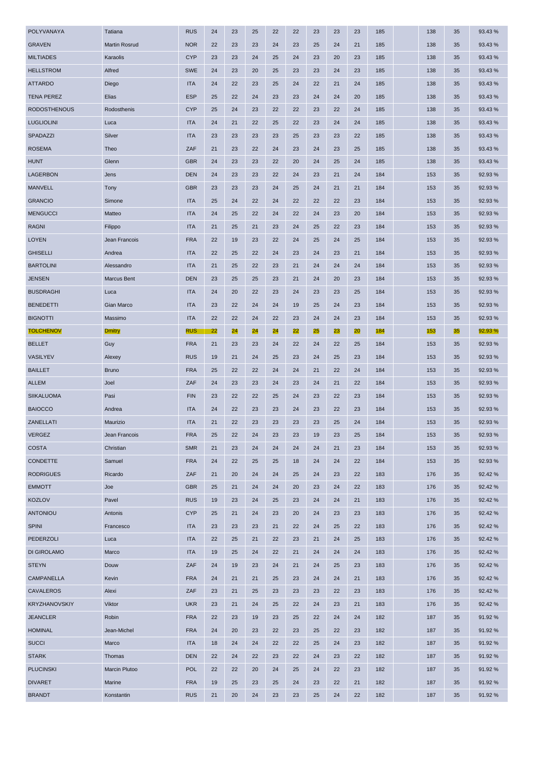| <b>יום יה</b> תו     | iviarum i vosruu   | ייסיי      | zz | ٤ν | ΣJ | 24 | ZU | ZJ | 24 | ZΤ | ιοσ | īОO | აა | 99.49 70 |
|----------------------|--------------------|------------|----|----|----|----|----|----|----|----|-----|-----|----|----------|
| <b>MILTIADES</b>     | Karaolis           | <b>CYP</b> | 23 | 23 | 24 | 25 | 24 | 23 | 20 | 23 | 185 | 138 | 35 | 93.43%   |
| <b>HELLSTROM</b>     | Alfred             | <b>SWE</b> | 24 | 23 | 20 | 25 | 23 | 23 | 24 | 23 | 185 | 138 | 35 | 93.43%   |
| <b>ATTARDO</b>       | Diego              | <b>ITA</b> | 24 | 22 | 23 | 25 | 24 | 22 | 21 | 24 | 185 | 138 | 35 | 93.43%   |
| <b>TENA PEREZ</b>    | Elias              | <b>ESP</b> | 25 | 22 | 24 | 23 | 23 | 24 | 24 | 20 | 185 | 138 | 35 | 93.43%   |
| <b>RODOSTHENOUS</b>  | Rodosthenis        | <b>CYP</b> | 25 | 24 | 23 | 22 | 22 | 23 | 22 | 24 | 185 | 138 | 35 | 93.43%   |
| <b>LUGLIOLINI</b>    | Luca               | <b>ITA</b> | 24 | 21 | 22 | 25 | 22 | 23 | 24 | 24 | 185 | 138 | 35 | 93.43%   |
| SPADAZZI             | Silver             | <b>ITA</b> | 23 | 23 | 23 | 23 | 25 | 23 | 23 | 22 | 185 | 138 | 35 | 93.43%   |
| <b>ROSEMA</b>        | Theo               | ZAF        | 21 | 23 | 22 | 24 | 23 | 24 | 23 | 25 | 185 | 138 | 35 | 93.43%   |
| <b>HUNT</b>          | Glenn              | <b>GBR</b> | 24 | 23 | 23 | 22 | 20 | 24 | 25 | 24 | 185 | 138 | 35 | 93.43%   |
| <b>LAGERBON</b>      | Jens               | <b>DEN</b> | 24 | 23 | 23 | 22 | 24 | 23 | 21 | 24 | 184 | 153 | 35 | 92.93%   |
| <b>MANVELL</b>       | Tony               | <b>GBR</b> | 23 | 23 | 23 | 24 | 25 | 24 | 21 | 21 | 184 | 153 | 35 | 92.93%   |
| <b>GRANCIO</b>       | Simone             | <b>ITA</b> | 25 | 24 | 22 | 24 | 22 | 22 | 22 | 23 | 184 | 153 | 35 | 92.93%   |
| <b>MENGUCCI</b>      | Matteo             | <b>ITA</b> | 24 | 25 | 22 | 24 | 22 | 24 | 23 | 20 | 184 | 153 | 35 | 92.93%   |
| <b>RAGNI</b>         | Filippo            | <b>ITA</b> | 21 | 25 | 21 | 23 | 24 | 25 | 22 | 23 | 184 | 153 | 35 | 92.93%   |
| <b>LOYEN</b>         | Jean Francois      | <b>FRA</b> | 22 | 19 | 23 | 22 | 24 | 25 | 24 | 25 | 184 | 153 | 35 | 92.93%   |
| <b>GHISELLI</b>      | Andrea             | <b>ITA</b> | 22 | 25 | 22 | 24 | 23 | 24 | 23 | 21 | 184 | 153 | 35 | 92.93%   |
| <b>BARTOLINI</b>     | Alessandro         | <b>ITA</b> | 21 | 25 | 22 | 23 | 21 | 24 | 24 | 24 | 184 | 153 | 35 | 92.93%   |
| <b>JENSEN</b>        | <b>Marcus Bent</b> | <b>DEN</b> | 23 | 25 | 25 | 23 | 21 | 24 | 20 | 23 | 184 | 153 | 35 | 92.93%   |
| <b>BUSDRAGHI</b>     | Luca               | <b>ITA</b> | 24 | 20 | 22 | 23 | 24 | 23 | 23 | 25 | 184 | 153 | 35 | 92.93%   |
| <b>BENEDETTI</b>     | Gian Marco         | <b>ITA</b> | 23 | 22 | 24 | 24 | 19 | 25 | 24 | 23 | 184 | 153 | 35 | 92.93%   |
| <b>BIGNOTTI</b>      | Massimo            | <b>ITA</b> | 22 | 22 | 24 | 22 | 23 | 24 | 24 | 23 | 184 | 153 | 35 | 92.93%   |
| <b>TOLCHENOV</b>     | <b>Dmitry</b>      | <b>RUS</b> | 22 | 24 | 24 | 24 | 22 | 25 | 23 | 20 | 184 | 153 | 35 | 92.93 %  |
| <b>BELLET</b>        | Guy                | <b>FRA</b> | 21 | 23 | 23 | 24 | 22 | 24 | 22 | 25 | 184 | 153 | 35 | 92.93%   |
| VASILYEV             | Alexey             | <b>RUS</b> | 19 | 21 | 24 | 25 | 23 | 24 | 25 | 23 | 184 | 153 | 35 | 92.93%   |
| <b>BAILLET</b>       | <b>Bruno</b>       | <b>FRA</b> | 25 | 22 | 22 | 24 | 24 | 21 | 22 | 24 | 184 | 153 | 35 | 92.93%   |
| <b>ALLEM</b>         | Joel               | ZAF        | 24 | 23 | 23 | 24 | 23 | 24 | 21 | 22 | 184 | 153 | 35 | 92.93%   |
| <b>SIIKALUOMA</b>    | Pasi               | <b>FIN</b> | 23 | 22 | 22 | 25 | 24 | 23 | 22 | 23 | 184 | 153 | 35 | 92.93%   |
| <b>BAIOCCO</b>       | Andrea             | <b>ITA</b> | 24 | 22 | 23 | 23 | 24 | 23 | 22 | 23 | 184 | 153 | 35 | 92.93%   |
| ZANELLATI            | Maurizio           | <b>ITA</b> | 21 | 22 | 23 | 23 | 23 | 23 | 25 | 24 | 184 | 153 | 35 | 92.93%   |
| <b>VERGEZ</b>        | Jean Francois      | <b>FRA</b> | 25 | 22 | 24 | 23 | 23 | 19 | 23 | 25 | 184 | 153 | 35 | 92.93%   |
| COSTA                | Christian          | <b>SMR</b> | 21 | 23 | 24 | 24 | 24 | 24 | 21 | 23 | 184 | 153 | 35 | 92.93%   |
| CONDETTE             | Samuel             | <b>FRA</b> | 24 | 22 | 25 | 25 | 18 | 24 | 24 | 22 | 184 | 153 | 35 | 92.93%   |
| <b>RODRIGUES</b>     | Ricardo            | ZAF        | 21 | 20 | 24 | 24 | 25 | 24 | 23 | 22 | 183 | 176 | 35 | 92.42%   |
| <b>EMMOTT</b>        | Joe                | <b>GBR</b> | 25 | 21 | 24 | 24 | 20 | 23 | 24 | 22 | 183 | 176 | 35 | 92.42 %  |
| <b>KOZLOV</b>        | Pavel              | <b>RUS</b> | 19 | 23 | 24 | 25 | 23 | 24 | 24 | 21 | 183 | 176 | 35 | 92.42%   |
| <b>ANTONIOU</b>      | Antonis            | <b>CYP</b> | 25 | 21 | 24 | 23 | 20 | 24 | 23 | 23 | 183 | 176 | 35 | 92.42 %  |
| <b>SPINI</b>         | Francesco          | <b>ITA</b> | 23 | 23 | 23 | 21 | 22 | 24 | 25 | 22 | 183 | 176 | 35 | 92.42%   |
| PEDERZOLI            | Luca               | <b>ITA</b> | 22 | 25 | 21 | 22 | 23 | 21 | 24 | 25 | 183 | 176 | 35 | 92.42%   |
| DI GIROLAMO          | Marco              | <b>ITA</b> | 19 | 25 | 24 | 22 | 21 | 24 | 24 | 24 | 183 | 176 | 35 | 92.42 %  |
| <b>STEYN</b>         | Douw               | ZAF        | 24 | 19 | 23 | 24 | 21 | 24 | 25 | 23 | 183 | 176 | 35 | 92.42 %  |
| CAMPANELLA           | Kevin              | <b>FRA</b> | 24 | 21 | 21 | 25 | 23 | 24 | 24 | 21 | 183 | 176 | 35 | 92.42 %  |
| <b>CAVALEROS</b>     | Alexi              | ZAF        | 23 | 21 | 25 | 23 | 23 | 23 | 22 | 23 | 183 | 176 | 35 | 92.42 %  |
| <b>KRYZHANOVSKIY</b> | Viktor             | <b>UKR</b> | 23 | 21 | 24 | 25 | 22 | 24 | 23 | 21 | 183 | 176 | 35 | 92.42%   |
| <b>JEANCLER</b>      | Robin              | <b>FRA</b> | 22 | 23 | 19 | 23 | 25 | 22 | 24 | 24 | 182 | 187 | 35 | 91.92%   |
| <b>HOMINAL</b>       | Jean-Michel        | <b>FRA</b> | 24 | 20 | 23 | 22 | 23 | 25 | 22 | 23 | 182 | 187 | 35 | 91.92%   |
| <b>SUCCI</b>         | Marco              | <b>ITA</b> | 18 | 24 | 24 | 22 | 22 | 25 | 24 | 23 | 182 | 187 | 35 | 91.92 %  |
| <b>STARK</b>         | Thomas             | <b>DEN</b> | 22 | 24 | 22 | 23 | 22 | 24 | 23 | 22 | 182 | 187 | 35 | 91.92%   |
| <b>PLUCINSKI</b>     | Marcin Plutoo      | <b>POL</b> | 22 | 22 | 20 | 24 | 25 | 24 | 22 | 23 | 182 | 187 | 35 | 91.92%   |
| <b>DIVARET</b>       | Marine             | <b>FRA</b> | 19 | 25 | 23 | 25 | 24 | 23 | 22 | 21 | 182 | 187 | 35 | 91.92%   |
| <b>BRANDT</b>        | Konstantin         | <b>RUS</b> | 21 | 20 | 24 | 23 | 23 | 25 | 24 | 22 | 182 | 187 | 35 | 91.92%   |
|                      |                    |            |    |    |    |    |    |    |    |    |     |     |    |          |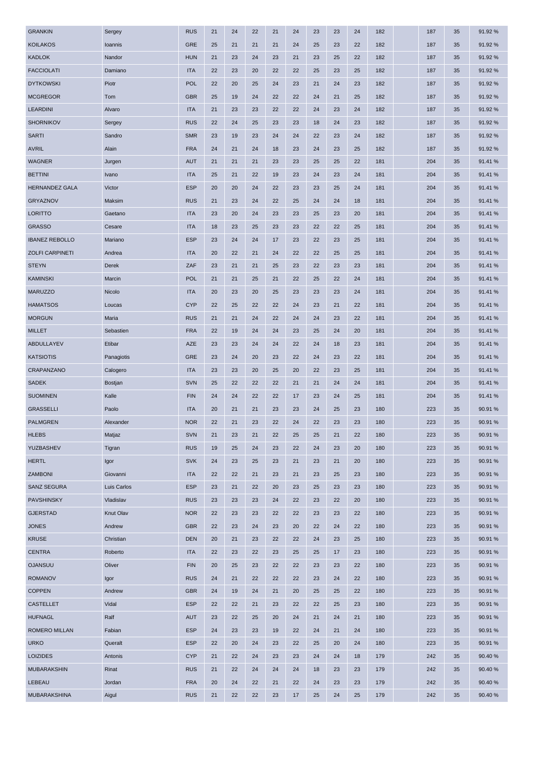| <b>GRANKIN</b>         | Sergey         | <b>RUS</b> | 21 | 24 | 22 | 21 | 24 | 23 | 23 | 24 | 182 | 187 | 35 | 91.92%  |
|------------------------|----------------|------------|----|----|----|----|----|----|----|----|-----|-----|----|---------|
| <b>KOILAKOS</b>        | Ioannis        | <b>GRE</b> | 25 | 21 | 21 | 21 | 24 | 25 | 23 | 22 | 182 | 187 | 35 | 91.92%  |
| <b>KADLOK</b>          | Nandor         | <b>HUN</b> | 21 | 23 | 24 | 23 | 21 | 23 | 25 | 22 | 182 | 187 | 35 | 91.92%  |
| <b>FACCIOLATI</b>      | Damiano        | <b>ITA</b> | 22 | 23 | 20 | 22 | 22 | 25 | 23 | 25 | 182 | 187 | 35 | 91.92 % |
| <b>DYTKOWSKI</b>       | Piotr          | <b>POL</b> | 22 | 20 | 25 | 24 | 23 | 21 | 24 | 23 | 182 | 187 | 35 | 91.92%  |
| <b>MCGREGOR</b>        | Tom            | <b>GBR</b> | 25 | 19 | 24 | 22 | 22 | 24 | 21 | 25 | 182 | 187 | 35 | 91.92%  |
| <b>LEARDINI</b>        | Alvaro         | <b>ITA</b> | 21 | 23 | 23 | 22 | 22 | 24 | 23 | 24 | 182 | 187 | 35 | 91.92%  |
| <b>SHORNIKOV</b>       | Sergey         | <b>RUS</b> | 22 | 24 | 25 | 23 | 23 | 18 | 24 | 23 | 182 | 187 | 35 | 91.92%  |
| <b>SARTI</b>           | Sandro         | <b>SMR</b> | 23 | 19 | 23 | 24 | 24 | 22 | 23 | 24 | 182 | 187 | 35 | 91.92%  |
| <b>AVRIL</b>           | Alain          | <b>FRA</b> | 24 | 21 | 24 | 18 | 23 | 24 | 23 | 25 | 182 | 187 | 35 | 91.92%  |
| <b>WAGNER</b>          | Jurgen         | <b>AUT</b> | 21 | 21 | 21 | 23 | 23 | 25 | 25 | 22 | 181 | 204 | 35 | 91.41%  |
| <b>BETTINI</b>         | Ivano          | <b>ITA</b> | 25 | 21 | 22 | 19 | 23 | 24 | 23 | 24 | 181 | 204 | 35 | 91.41%  |
| <b>HERNANDEZ GALA</b>  | Victor         | <b>ESP</b> | 20 | 20 | 24 | 22 | 23 | 23 | 25 | 24 | 181 | 204 | 35 | 91.41%  |
| <b>GRYAZNOV</b>        | Maksim         | <b>RUS</b> | 21 | 23 | 24 | 22 | 25 | 24 | 24 | 18 | 181 | 204 | 35 | 91.41%  |
| <b>LORITTO</b>         | Gaetano        | <b>ITA</b> | 23 | 20 | 24 | 23 | 23 | 25 | 23 | 20 | 181 | 204 | 35 | 91.41%  |
| <b>GRASSO</b>          | Cesare         | <b>ITA</b> | 18 | 23 | 25 | 23 | 23 | 22 | 22 | 25 | 181 | 204 | 35 | 91.41%  |
| <b>IBANEZ REBOLLO</b>  | Mariano        | <b>ESP</b> | 23 | 24 | 24 | 17 | 23 | 22 | 23 | 25 | 181 | 204 | 35 | 91.41%  |
| <b>ZOLFI CARPINETI</b> | Andrea         | <b>ITA</b> | 20 | 22 | 21 | 24 | 22 | 22 | 25 | 25 | 181 | 204 | 35 | 91.41%  |
| <b>STEYN</b>           | Derek          | ZAF        | 23 | 21 | 21 | 25 | 23 | 22 | 23 | 23 | 181 | 204 | 35 | 91.41%  |
| <b>KAMINSKI</b>        | Marcin         | POL        | 21 | 21 | 25 | 21 | 22 | 25 | 22 | 24 | 181 | 204 | 35 | 91.41%  |
| <b>MARUZZO</b>         | Nicolo         | <b>ITA</b> | 20 | 23 | 20 | 25 | 23 | 23 | 23 | 24 | 181 | 204 | 35 | 91.41%  |
| <b>HAMATSOS</b>        | Loucas         | <b>CYP</b> | 22 | 25 | 22 | 22 | 24 | 23 | 21 | 22 | 181 | 204 | 35 | 91.41%  |
| <b>MORGUN</b>          | Maria          | <b>RUS</b> | 21 | 21 | 24 | 22 | 24 | 24 | 23 | 22 | 181 | 204 | 35 | 91.41%  |
| <b>MILLET</b>          | Sebastien      | <b>FRA</b> | 22 | 19 | 24 | 24 | 23 | 25 | 24 | 20 | 181 | 204 | 35 | 91.41%  |
| ABDULLAYEV             | Etibar         | AZE        | 23 | 23 | 24 | 24 | 22 | 24 | 18 | 23 | 181 | 204 | 35 | 91.41%  |
| <b>KATSIOTIS</b>       | Panagiotis     | <b>GRE</b> | 23 | 24 | 20 | 23 | 22 | 24 | 23 | 22 | 181 | 204 | 35 | 91.41%  |
| CRAPANZANO             | Calogero       | <b>ITA</b> | 23 | 23 | 20 | 25 | 20 | 22 | 23 | 25 | 181 | 204 | 35 | 91.41%  |
| <b>SADEK</b>           | <b>Bostjan</b> | <b>SVN</b> | 25 | 22 | 22 | 22 | 21 | 21 | 24 | 24 | 181 | 204 | 35 | 91.41%  |
| <b>SUOMINEN</b>        | Kalle          | <b>FIN</b> | 24 | 24 | 22 | 22 | 17 | 23 | 24 | 25 | 181 | 204 | 35 | 91.41%  |
| <b>GRASSELLI</b>       | Paolo          | <b>ITA</b> | 20 | 21 | 21 | 23 | 23 | 24 | 25 | 23 | 180 | 223 | 35 | 90.91%  |
| <b>PALMGREN</b>        | Alexander      | <b>NOR</b> | 22 | 21 | 23 | 22 | 24 | 22 | 23 | 23 | 180 | 223 | 35 | 90.91 % |
| <b>HLEBS</b>           | Matjaz         | <b>SVN</b> | 21 | 23 | 21 | 22 | 25 | 25 | 21 | 22 | 180 | 223 | 35 | 90.91 % |
| YUZBASHEV              | Tigran         | <b>RUS</b> | 19 | 25 | 24 | 23 | 22 | 24 | 23 | 20 | 180 | 223 | 35 | 90.91 % |
| <b>HERTL</b>           | Igor           | <b>SVK</b> | 24 | 23 | 25 | 23 | 21 | 23 | 21 | 20 | 180 | 223 | 35 | 90.91 % |
| <b>ZAMBONI</b>         | Giovanni       | <b>ITA</b> | 22 | 22 | 21 | 23 | 21 | 23 | 25 | 23 | 180 | 223 | 35 | 90.91 % |
| SANZ SEGURA            | Luis Carlos    | <b>ESP</b> | 23 | 21 | 22 | 20 | 23 | 25 | 23 | 23 | 180 | 223 | 35 | 90.91 % |
| <b>PAVSHINSKY</b>      | Vladislav      | <b>RUS</b> | 23 | 23 | 23 | 24 | 22 | 23 | 22 | 20 | 180 | 223 | 35 | 90.91%  |
| <b>GJERSTAD</b>        | Knut Olav      | <b>NOR</b> | 22 | 23 | 23 | 22 | 22 | 23 | 23 | 22 | 180 | 223 | 35 | 90.91 % |
| <b>JONES</b>           | Andrew         | <b>GBR</b> | 22 | 23 | 24 | 23 | 20 | 22 | 24 | 22 | 180 | 223 | 35 | 90.91 % |
| KRUSE                  | Christian      | <b>DEN</b> | 20 | 21 | 23 | 22 | 22 | 24 | 23 | 25 | 180 | 223 | 35 | 90.91 % |
| <b>CENTRA</b>          | Roberto        | <b>ITA</b> | 22 | 23 | 22 | 23 | 25 | 25 | 17 | 23 | 180 | 223 | 35 | 90.91 % |
| <b>OJANSUU</b>         | Oliver         | <b>FIN</b> | 20 | 25 | 23 | 22 | 22 | 23 | 23 | 22 | 180 | 223 | 35 | 90.91%  |
| <b>ROMANOV</b>         | Igor           | <b>RUS</b> | 24 | 21 | 22 | 22 | 22 | 23 | 24 | 22 | 180 | 223 | 35 | 90.91 % |
|                        |                |            |    |    |    |    |    |    |    |    |     |     |    |         |
| <b>COPPEN</b>          | Andrew         | <b>GBR</b> | 24 | 19 | 24 | 21 | 20 | 25 | 25 | 22 | 180 | 223 | 35 | 90.91 % |
| <b>CASTELLET</b>       | Vidal          | <b>ESP</b> | 22 | 22 | 21 | 23 | 22 | 22 | 25 | 23 | 180 | 223 | 35 | 90.91 % |
| <b>HUFNAGL</b>         | Ralf           | <b>AUT</b> | 23 | 22 | 25 | 20 | 24 | 21 | 24 | 21 | 180 | 223 | 35 | 90.91 % |
| ROMERO MILLAN          | Fabian         | <b>ESP</b> | 24 | 23 | 23 | 19 | 22 | 24 | 21 | 24 | 180 | 223 | 35 | 90.91%  |
| <b>URKO</b>            | Queralt        | <b>ESP</b> | 22 | 20 | 24 | 23 | 22 | 25 | 20 | 24 | 180 | 223 | 35 | 90.91 % |
| <b>LOIZIDES</b>        | Antonis        | <b>CYP</b> | 21 | 22 | 24 | 23 | 23 | 24 | 24 | 18 | 179 | 242 | 35 | 90.40%  |
| MUBARAKSHIN            | Rinat          | <b>RUS</b> | 21 | 22 | 24 | 24 | 24 | 18 | 23 | 23 | 179 | 242 | 35 | 90.40 % |
| LEBEAU                 | Jordan         | <b>FRA</b> | 20 | 24 | 22 | 21 | 22 | 24 | 23 | 23 | 179 | 242 | 35 | 90.40%  |
| <b>MUBARAKSHINA</b>    | Aigul          | <b>RUS</b> | 21 | 22 | 22 | 23 | 17 | 25 | 24 | 25 | 179 | 242 | 35 | 90.40 % |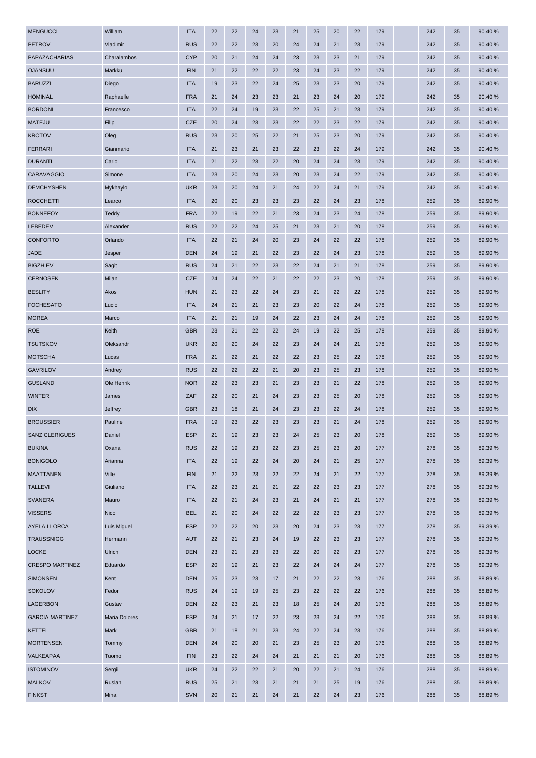| <b>MENGUCCI</b>        | William              | <b>ITA</b> | 22 | 22 | 24 | 23 | 21 | 25 | 20 | 22 | 179 | 242 | 35 | 90.40%  |
|------------------------|----------------------|------------|----|----|----|----|----|----|----|----|-----|-----|----|---------|
| <b>PETROV</b>          | Vladimir             | <b>RUS</b> | 22 | 22 | 23 | 20 | 24 | 24 | 21 | 23 | 179 | 242 | 35 | 90.40%  |
| PAPAZACHARIAS          | Charalambos          | <b>CYP</b> | 20 | 21 | 24 | 24 | 23 | 23 | 23 | 21 | 179 | 242 | 35 | 90.40%  |
| <b>OJANSUU</b>         | Markku               | <b>FIN</b> | 21 | 22 | 22 | 22 | 23 | 24 | 23 | 22 | 179 | 242 | 35 | 90.40%  |
| <b>BARUZZI</b>         | Diego                | <b>ITA</b> | 19 | 23 | 22 | 24 | 25 | 23 | 23 | 20 | 179 | 242 | 35 | 90.40%  |
| <b>HOMINAL</b>         | Raphaelle            | <b>FRA</b> | 21 | 24 | 23 | 23 | 21 | 23 | 24 | 20 | 179 | 242 | 35 | 90.40%  |
| <b>BORDONI</b>         | Francesco            | <b>ITA</b> | 22 | 24 | 19 | 23 | 22 | 25 | 21 | 23 | 179 | 242 | 35 | 90.40%  |
| <b>MATEJU</b>          | Filip                | CZE        | 20 | 24 | 23 | 23 | 22 | 22 | 23 | 22 | 179 | 242 | 35 | 90.40%  |
| <b>KROTOV</b>          | Oleg                 | <b>RUS</b> | 23 | 20 | 25 | 22 | 21 | 25 | 23 | 20 | 179 | 242 | 35 | 90.40%  |
| <b>FERRARI</b>         | Gianmario            | <b>ITA</b> | 21 | 23 | 21 | 23 | 22 | 23 | 22 | 24 | 179 | 242 | 35 | 90.40%  |
| <b>DURANTI</b>         | Carlo                | <b>ITA</b> | 21 | 22 | 23 | 22 | 20 | 24 | 24 | 23 | 179 | 242 | 35 | 90.40%  |
| <b>CARAVAGGIO</b>      | Simone               | <b>ITA</b> | 23 | 20 | 24 | 23 | 20 | 23 | 24 | 22 | 179 | 242 | 35 | 90.40%  |
| <b>DEMCHYSHEN</b>      | Mykhaylo             | <b>UKR</b> | 23 | 20 | 24 | 21 | 24 | 22 | 24 | 21 | 179 | 242 | 35 | 90.40%  |
| <b>ROCCHETTI</b>       | Learco               | <b>ITA</b> | 20 | 20 | 23 | 23 | 23 | 22 | 24 | 23 | 178 | 259 | 35 | 89.90 % |
| <b>BONNEFOY</b>        | Teddy                | <b>FRA</b> | 22 | 19 | 22 | 21 | 23 | 24 | 23 | 24 | 178 | 259 | 35 | 89.90 % |
| <b>LEBEDEV</b>         | Alexander            | <b>RUS</b> | 22 | 22 | 24 | 25 | 21 | 23 | 21 | 20 | 178 | 259 | 35 | 89.90 % |
| <b>CONFORTO</b>        | Orlando              | <b>ITA</b> | 22 | 21 | 24 | 20 | 23 | 24 | 22 | 22 | 178 | 259 | 35 | 89.90 % |
| <b>JADE</b>            | Jesper               | <b>DEN</b> | 24 | 19 | 21 | 22 | 23 | 22 | 24 | 23 | 178 | 259 | 35 | 89.90 % |
| <b>BIGZHIEV</b>        | Sagit                | <b>RUS</b> | 24 | 21 | 22 | 23 | 22 | 24 | 21 | 21 | 178 | 259 | 35 | 89.90 % |
| <b>CERNOSEK</b>        | Milan                | CZE        | 24 | 24 | 22 | 21 | 22 | 22 | 23 | 20 | 178 | 259 | 35 | 89.90 % |
| <b>BESLITY</b>         | Akos                 | <b>HUN</b> | 21 | 23 | 22 | 24 | 23 | 21 | 22 | 22 | 178 | 259 | 35 | 89.90 % |
| <b>FOCHESATO</b>       | Lucio                | <b>ITA</b> | 24 | 21 | 21 | 23 | 23 | 20 | 22 | 24 | 178 | 259 | 35 | 89.90 % |
| <b>MOREA</b>           | Marco                | <b>ITA</b> | 21 | 21 | 19 | 24 | 22 | 23 | 24 | 24 | 178 | 259 | 35 | 89.90 % |
| <b>ROE</b>             | Keith                | <b>GBR</b> | 23 | 21 | 22 | 22 | 24 | 19 | 22 | 25 | 178 | 259 | 35 | 89.90 % |
| <b>TSUTSKOV</b>        | Oleksandr            | <b>UKR</b> | 20 | 20 | 24 | 22 | 23 | 24 | 24 | 21 | 178 | 259 | 35 | 89.90 % |
| <b>MOTSCHA</b>         | Lucas                | <b>FRA</b> | 21 | 22 | 21 | 22 | 22 | 23 | 25 | 22 | 178 | 259 | 35 | 89.90 % |
| <b>GAVRILOV</b>        | Andrey               | <b>RUS</b> | 22 | 22 | 22 | 21 | 20 | 23 | 25 | 23 | 178 | 259 | 35 | 89.90 % |
| <b>GUSLAND</b>         | Ole Henrik           | <b>NOR</b> | 22 | 23 | 23 | 21 | 23 | 23 | 21 | 22 | 178 | 259 | 35 | 89.90 % |
| <b>WINTER</b>          | James                | ZAF        | 22 | 20 | 21 | 24 | 23 | 23 | 25 | 20 | 178 | 259 | 35 | 89.90 % |
| <b>DIX</b>             | Jeffrey              | <b>GBR</b> | 23 | 18 | 21 | 24 | 23 | 23 | 22 | 24 | 178 | 259 | 35 | 89.90 % |
| <b>BROUSSIER</b>       | Pauline              | <b>FRA</b> | 19 | 23 | 22 | 23 | 23 | 23 | 21 | 24 | 178 | 259 | 35 | 89.90 % |
| <b>SANZ CLERIGUES</b>  | Daniel               | <b>ESP</b> | 21 | 19 | 23 | 23 | 24 | 25 | 23 | 20 | 178 | 259 | 35 | 89.90 % |
| <b>BUKINA</b>          | Oxana                | <b>RUS</b> | 22 | 19 | 23 | 22 | 23 | 25 | 23 | 20 | 177 | 278 | 35 | 89.39 % |
| <b>BONIGOLO</b>        | Arianna              | <b>ITA</b> | 22 | 19 | 22 | 24 | 20 | 24 | 21 | 25 | 177 | 278 | 35 | 89.39 % |
| <b>MAATTANEN</b>       | Ville                | <b>FIN</b> | 21 | 22 | 23 | 22 | 22 | 24 | 21 | 22 | 177 | 278 | 35 | 89.39 % |
| <b>TALLEVI</b>         | Giuliano             | <b>ITA</b> | 22 | 23 | 21 | 21 | 22 | 22 | 23 | 23 | 177 | 278 | 35 | 89.39 % |
| <b>SVANERA</b>         | Mauro                | <b>ITA</b> | 22 | 21 | 24 | 23 | 21 | 24 | 21 | 21 | 177 | 278 | 35 | 89.39 % |
| <b>VISSERS</b>         | Nico                 | <b>BEL</b> | 21 | 20 | 24 | 22 | 22 | 22 | 23 | 23 | 177 | 278 | 35 | 89.39 % |
| AYELA LLORCA           | Luis Miguel          | <b>ESP</b> | 22 | 22 | 20 | 23 | 20 | 24 | 23 | 23 | 177 | 278 | 35 | 89.39 % |
| <b>TRAUSSNIGG</b>      | Hermann              | <b>AUT</b> | 22 | 21 | 23 | 24 | 19 | 22 | 23 | 23 | 177 | 278 | 35 | 89.39 % |
| <b>LOCKE</b>           | Ulrich               | <b>DEN</b> | 23 | 21 | 23 | 23 | 22 | 20 | 22 | 23 | 177 | 278 | 35 | 89.39 % |
| <b>CRESPO MARTINEZ</b> | Eduardo              | <b>ESP</b> | 20 | 19 | 21 | 23 | 22 | 24 | 24 | 24 | 177 | 278 | 35 | 89.39 % |
| <b>SIMONSEN</b>        | Kent                 | <b>DEN</b> | 25 | 23 | 23 | 17 | 21 | 22 | 22 | 23 | 176 | 288 | 35 | 88.89%  |
| <b>SOKOLOV</b>         | Fedor                | <b>RUS</b> | 24 | 19 | 19 | 25 | 23 | 22 | 22 | 22 | 176 | 288 | 35 | 88.89%  |
| LAGERBON               | Gustav               | <b>DEN</b> | 22 | 23 | 21 | 23 | 18 | 25 | 24 | 20 | 176 | 288 | 35 | 88.89%  |
| <b>GARCIA MARTINEZ</b> | <b>Maria Dolores</b> | <b>ESP</b> | 24 | 21 | 17 | 22 | 23 | 23 | 24 | 22 | 176 | 288 | 35 | 88.89%  |
| <b>KETTEL</b>          | Mark                 | <b>GBR</b> | 21 | 18 | 21 | 23 | 24 | 22 | 24 | 23 | 176 | 288 | 35 | 88.89%  |
| <b>MORTENSEN</b>       | Tommy                | <b>DEN</b> | 24 | 20 | 20 | 21 | 23 | 25 | 23 | 20 | 176 | 288 | 35 | 88.89%  |
| VALKEAPAA              | Tuomo                | <b>FIN</b> | 23 | 22 | 24 | 24 | 21 | 21 | 21 | 20 | 176 | 288 | 35 | 88.89%  |
| <b>ISTOMINOV</b>       | Sergii               | <b>UKR</b> | 24 | 22 | 22 | 21 | 20 | 22 | 21 | 24 | 176 | 288 | 35 | 88.89%  |
| <b>MALKOV</b>          | Ruslan               | <b>RUS</b> | 25 | 21 | 23 | 21 | 21 | 21 | 25 | 19 | 176 | 288 | 35 | 88.89%  |
|                        |                      |            |    |    |    |    |    |    |    |    |     |     |    |         |
| <b>FINKST</b>          | Miha                 | <b>SVN</b> | 20 | 21 | 21 | 24 | 21 | 22 | 24 | 23 | 176 | 288 | 35 | 88.89%  |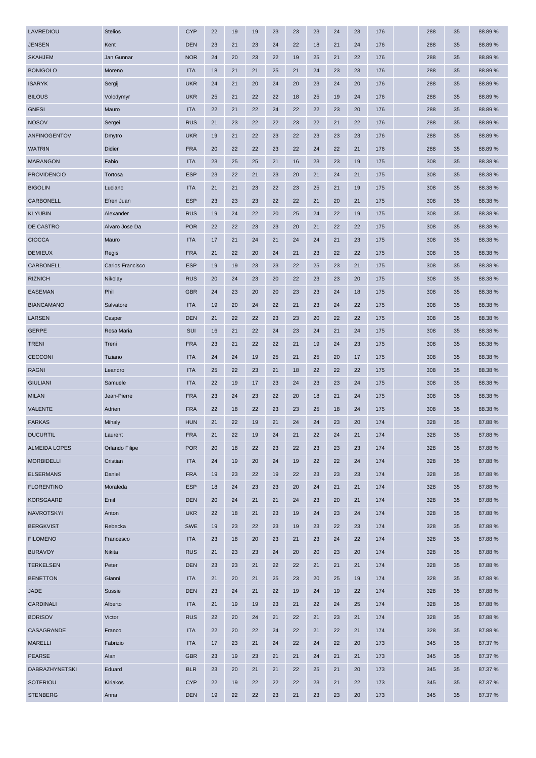| LAVREDIOU            | <b>Stelios</b>   | <b>CYP</b> | 22 | 19 | 19 | 23 | 23 | 23 | 24 | 23 | 176 | 288 | 35 | 88.89%  |
|----------------------|------------------|------------|----|----|----|----|----|----|----|----|-----|-----|----|---------|
| <b>JENSEN</b>        | Kent             | <b>DEN</b> | 23 | 21 | 23 | 24 | 22 | 18 | 21 | 24 | 176 | 288 | 35 | 88.89%  |
| <b>SKAHJEM</b>       | Jan Gunnar       | <b>NOR</b> | 24 | 20 | 23 | 22 | 19 | 25 | 21 | 22 | 176 | 288 | 35 | 88.89%  |
| <b>BONIGOLO</b>      | Moreno           | <b>ITA</b> | 18 | 21 | 21 | 25 | 21 | 24 | 23 | 23 | 176 | 288 | 35 | 88.89%  |
| <b>ISARYK</b>        | Sergij           | <b>UKR</b> | 24 | 21 | 20 | 24 | 20 | 23 | 24 | 20 | 176 | 288 | 35 | 88.89%  |
| <b>BILOUS</b>        | Volodymyr        | <b>UKR</b> | 25 | 21 | 22 | 22 | 18 | 25 | 19 | 24 | 176 | 288 | 35 | 88.89%  |
| <b>GNESI</b>         | Mauro            | <b>ITA</b> | 22 | 21 | 22 | 24 | 22 | 22 | 23 | 20 | 176 | 288 | 35 | 88.89%  |
| <b>NOSOV</b>         | Sergei           | <b>RUS</b> | 21 | 23 | 22 | 22 | 23 | 22 | 21 | 22 | 176 | 288 | 35 | 88.89%  |
| ANFINOGENTOV         | Dmytro           | <b>UKR</b> | 19 | 21 | 22 | 23 | 22 | 23 | 23 | 23 | 176 | 288 | 35 | 88.89%  |
| <b>WATRIN</b>        | Didier           | <b>FRA</b> | 20 | 22 | 22 | 23 | 22 | 24 | 22 | 21 | 176 | 288 | 35 | 88.89%  |
| <b>MARANGON</b>      | Fabio            | <b>ITA</b> | 23 | 25 | 25 | 21 | 16 | 23 | 23 | 19 | 175 | 308 | 35 | 88.38 % |
| <b>PROVIDENCIO</b>   | Tortosa          | <b>ESP</b> | 23 | 22 | 21 | 23 | 20 | 21 | 24 | 21 | 175 | 308 | 35 | 88.38 % |
| <b>BIGOLIN</b>       | Luciano          | <b>ITA</b> | 21 | 21 | 23 | 22 | 23 | 25 | 21 | 19 | 175 | 308 | 35 | 88.38 % |
| CARBONELL            | Efren Juan       | <b>ESP</b> | 23 | 23 | 23 | 22 | 22 | 21 | 20 | 21 | 175 | 308 | 35 | 88.38 % |
| <b>KLYUBIN</b>       | Alexander        | <b>RUS</b> | 19 | 24 | 22 | 20 | 25 | 24 | 22 | 19 | 175 | 308 | 35 | 88.38%  |
| DE CASTRO            | Alvaro Jose Da   | <b>POR</b> | 22 | 22 | 23 | 23 | 20 | 21 | 22 | 22 | 175 | 308 | 35 | 88.38 % |
| <b>CIOCCA</b>        | Mauro            | <b>ITA</b> | 17 | 21 | 24 | 21 | 24 | 24 | 21 | 23 | 175 | 308 | 35 | 88.38 % |
| <b>DEMIEUX</b>       | Regis            | <b>FRA</b> | 21 | 22 | 20 | 24 | 21 | 23 | 22 | 22 | 175 | 308 | 35 | 88.38 % |
| CARBONELL            | Carlos Francisco | <b>ESP</b> | 19 | 19 | 23 | 23 | 22 | 25 | 23 | 21 | 175 | 308 | 35 | 88.38 % |
| <b>RIZNICH</b>       | Nikolay          | <b>RUS</b> | 20 | 24 | 23 | 20 | 22 | 23 | 23 | 20 | 175 | 308 | 35 | 88.38 % |
| <b>EASEMAN</b>       | Phil             | <b>GBR</b> | 24 | 23 | 20 | 20 | 23 | 23 | 24 | 18 | 175 | 308 | 35 | 88.38 % |
| <b>BIANCAMANO</b>    | Salvatore        | <b>ITA</b> | 19 | 20 | 24 | 22 | 21 | 23 | 24 | 22 | 175 | 308 | 35 | 88.38 % |
| <b>LARSEN</b>        | Casper           | <b>DEN</b> | 21 | 22 | 22 | 23 | 23 | 20 | 22 | 22 | 175 | 308 | 35 | 88.38 % |
| <b>GERPE</b>         | Rosa Maria       | SUI        | 16 | 21 | 22 | 24 | 23 | 24 | 21 | 24 | 175 | 308 | 35 | 88.38 % |
| <b>TRENI</b>         | Treni            | <b>FRA</b> | 23 | 21 | 22 | 22 | 21 | 19 | 24 | 23 | 175 | 308 | 35 | 88.38 % |
| <b>CECCONI</b>       | Tiziano          | <b>ITA</b> | 24 | 24 | 19 | 25 | 21 | 25 | 20 | 17 | 175 | 308 | 35 | 88.38 % |
| <b>RAGNI</b>         | Leandro          | <b>ITA</b> | 25 | 22 | 23 | 21 | 18 | 22 | 22 | 22 | 175 | 308 | 35 | 88.38 % |
| <b>GIULIANI</b>      | Samuele          | <b>ITA</b> | 22 | 19 | 17 | 23 | 24 | 23 | 23 | 24 | 175 | 308 | 35 | 88.38 % |
| <b>MILAN</b>         | Jean-Pierre      | <b>FRA</b> | 23 | 24 | 23 | 22 | 20 | 18 | 21 | 24 | 175 | 308 | 35 | 88.38 % |
| VALENTE              | Adrien           | <b>FRA</b> | 22 | 18 | 22 | 23 | 23 | 25 | 18 | 24 | 175 | 308 | 35 | 88.38 % |
| <b>FARKAS</b>        | Mihaly           | <b>HUN</b> | 21 | 22 | 19 | 21 | 24 | 24 | 23 | 20 | 174 | 328 | 35 | 87.88%  |
| <b>DUCURTIL</b>      | Laurent          | <b>FRA</b> | 21 | 22 | 19 | 24 | 21 | 22 | 24 | 21 | 174 | 328 | 35 | 87.88%  |
| <b>ALMEIDA LOPES</b> | Orlando Filipe   | <b>POR</b> | 20 | 18 | 22 | 23 | 22 | 23 | 23 | 23 | 174 | 328 | 35 | 87.88%  |
| <b>MORBIDELLI</b>    | Cristian         | <b>ITA</b> | 24 | 19 | 20 | 24 | 19 | 22 | 22 | 24 | 174 | 328 | 35 | 87.88%  |
| <b>ELSERMANS</b>     | Daniel           | <b>FRA</b> | 19 | 23 | 22 | 19 | 22 | 23 | 23 | 23 | 174 | 328 | 35 | 87.88%  |
| <b>FLORENTINO</b>    | Moraleda         | <b>ESP</b> | 18 | 24 | 23 | 23 | 20 | 24 | 21 | 21 | 174 | 328 | 35 | 87.88%  |
| <b>KORSGAARD</b>     | Emil             | <b>DEN</b> | 20 | 24 | 21 | 21 | 24 | 23 | 20 | 21 | 174 | 328 | 35 | 87.88%  |
| <b>NAVROTSKYI</b>    | Anton            | <b>UKR</b> | 22 | 18 | 21 | 23 | 19 | 24 | 23 | 24 | 174 | 328 | 35 | 87.88%  |
| <b>BERGKVIST</b>     | Rebecka          | <b>SWE</b> | 19 | 23 | 22 | 23 | 19 | 23 | 22 | 23 | 174 | 328 | 35 | 87.88%  |
| <b>FILOMENO</b>      | Francesco        | <b>ITA</b> | 23 | 18 | 20 | 23 | 21 | 23 | 24 | 22 | 174 | 328 | 35 | 87.88%  |
| <b>BURAVOY</b>       | Nikita           | <b>RUS</b> | 21 | 23 | 23 | 24 | 20 | 20 | 23 | 20 | 174 | 328 | 35 | 87.88%  |
| <b>TERKELSEN</b>     | Peter            | <b>DEN</b> | 23 | 23 | 21 | 22 | 22 | 21 | 21 | 21 | 174 | 328 | 35 | 87.88%  |
| <b>BENETTON</b>      | Gianni           | <b>ITA</b> | 21 | 20 | 21 | 25 | 23 | 20 | 25 | 19 | 174 | 328 | 35 | 87.88%  |
| <b>JADE</b>          | Sussie           | <b>DEN</b> | 23 | 24 | 21 | 22 | 19 | 24 | 19 | 22 | 174 | 328 | 35 | 87.88%  |
| <b>CARDINALI</b>     | Alberto          | <b>ITA</b> | 21 | 19 | 19 | 23 | 21 | 22 | 24 | 25 | 174 | 328 | 35 | 87.88%  |
| <b>BORISOV</b>       | Victor           | <b>RUS</b> | 22 | 20 | 24 | 21 | 22 | 21 | 23 | 21 | 174 | 328 | 35 | 87.88%  |
| CASAGRANDE           | Franco           | <b>ITA</b> | 22 | 20 | 22 | 24 | 22 | 21 | 22 | 21 | 174 | 328 | 35 | 87.88%  |
| <b>MARELLI</b>       | Fabrizio         | <b>ITA</b> | 17 | 23 | 21 | 24 | 22 | 24 | 22 | 20 | 173 | 345 | 35 | 87.37 % |
| <b>PEARSE</b>        | Alan             | <b>GBR</b> | 23 | 19 | 23 | 21 | 21 | 24 | 21 | 21 | 173 | 345 | 35 | 87.37 % |
| DABRAZHYNETSKI       | Eduard           | <b>BLR</b> | 23 | 20 | 21 | 21 | 22 | 25 | 21 | 20 | 173 | 345 | 35 | 87.37 % |
| <b>SOTERIOU</b>      | Kiriakos         | <b>CYP</b> | 22 | 19 | 22 | 22 | 22 | 23 | 21 | 22 | 173 | 345 | 35 | 87.37 % |
| <b>STENBERG</b>      | Anna             | <b>DEN</b> | 19 | 22 | 22 | 23 | 21 | 23 | 23 | 20 | 173 | 345 | 35 | 87.37 % |
|                      |                  |            |    |    |    |    |    |    |    |    |     |     |    |         |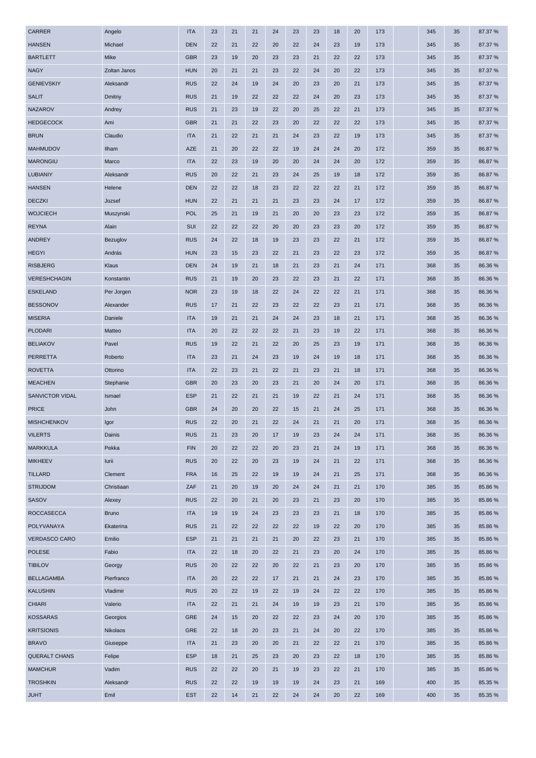| <b>CARRER</b>        | Angelo       | <b>ITA</b> | 23 | 21 | 21 | 24 | 23 | 23 | 18 | 20 | 173 | 345 | 35 | 87.37 % |
|----------------------|--------------|------------|----|----|----|----|----|----|----|----|-----|-----|----|---------|
| <b>HANSEN</b>        | Michael      | <b>DEN</b> | 22 | 21 | 22 | 20 | 22 | 24 | 23 | 19 | 173 | 345 | 35 | 87.37 % |
| <b>BARTLETT</b>      | Mike         | <b>GBR</b> | 23 | 19 | 20 | 23 | 23 | 21 | 22 | 22 | 173 | 345 | 35 | 87.37 % |
| <b>NAGY</b>          | Zoltan Janos | <b>HUN</b> | 20 | 21 | 21 | 23 | 22 | 24 | 20 | 22 | 173 | 345 | 35 | 87.37 % |
| <b>GENIEVSKIY</b>    | Aleksandr    | <b>RUS</b> | 22 | 24 | 19 | 24 | 20 | 23 | 20 | 21 | 173 | 345 | 35 | 87.37 % |
| <b>SALIT</b>         | Dmitriy      | <b>RUS</b> | 21 | 19 | 22 | 22 | 22 | 24 | 20 | 23 | 173 | 345 | 35 | 87.37 % |
| <b>NAZAROV</b>       | Andrey       | <b>RUS</b> | 21 | 23 | 19 | 22 | 20 | 25 | 22 | 21 | 173 | 345 | 35 | 87.37 % |
| <b>HEDGECOCK</b>     | Ami          | <b>GBR</b> | 21 | 21 | 22 | 23 | 20 | 22 | 22 | 22 | 173 | 345 | 35 | 87.37 % |
| <b>BRUN</b>          | Claudio      | <b>ITA</b> | 21 | 22 | 21 | 21 | 24 | 23 | 22 | 19 | 173 | 345 | 35 | 87.37 % |
| <b>MAHMUDOV</b>      | Ilham        | <b>AZE</b> | 21 | 20 | 22 | 22 | 19 | 24 | 24 | 20 | 172 | 359 | 35 | 86.87%  |
| <b>MARONGIU</b>      | Marco        | <b>ITA</b> | 22 | 23 | 19 | 20 | 20 | 24 | 24 | 20 | 172 | 359 | 35 | 86.87%  |
| <b>LUBIANIY</b>      | Aleksandr    | <b>RUS</b> | 20 | 22 | 21 | 23 | 24 | 25 | 19 | 18 | 172 | 359 | 35 | 86.87%  |
| <b>HANSEN</b>        | Helene       | <b>DEN</b> | 22 | 22 | 18 | 23 | 22 | 22 | 22 | 21 | 172 | 359 | 35 | 86.87%  |
| <b>DECZKI</b>        | Jozsef       | <b>HUN</b> | 22 | 21 | 21 | 21 | 23 | 23 | 24 | 17 | 172 | 359 | 35 | 86.87%  |
| <b>WOJCIECH</b>      | Muszynski    | <b>POL</b> | 25 | 21 | 19 | 21 | 20 | 20 | 23 | 23 | 172 | 359 | 35 | 86.87%  |
| <b>REYNA</b>         | Alain        | SUI        | 22 | 22 | 22 | 20 | 20 | 23 | 23 | 20 | 172 | 359 | 35 | 86.87%  |
| ANDREY               | Bezuglov     | <b>RUS</b> | 24 | 22 | 18 | 19 | 23 | 23 | 22 | 21 | 172 | 359 | 35 | 86.87%  |
| <b>HEGYI</b>         | András       | <b>HUN</b> | 23 | 15 | 23 | 22 | 21 | 23 | 22 | 23 | 172 | 359 | 35 | 86.87%  |
| <b>RISBJERG</b>      | Klaus        | <b>DEN</b> | 24 | 19 | 21 | 18 | 21 | 23 | 21 | 24 | 171 | 368 | 35 | 86.36 % |
| <b>VERESHCHAGIN</b>  | Konstantin   | <b>RUS</b> | 21 | 19 | 20 | 23 | 22 | 23 | 21 | 22 | 171 | 368 | 35 | 86.36%  |
| ESKELAND             | Per Jorgen   | <b>NOR</b> | 23 | 19 | 18 | 22 | 24 | 22 | 22 | 21 | 171 | 368 | 35 | 86.36 % |
| <b>BESSONOV</b>      | Alexander    | <b>RUS</b> | 17 | 21 | 22 | 23 | 22 | 22 | 23 | 21 | 171 | 368 | 35 | 86.36%  |
| <b>MISERIA</b>       | Daniele      | <b>ITA</b> | 19 | 21 | 21 | 24 | 24 | 23 | 18 | 21 | 171 | 368 | 35 | 86.36 % |
| <b>PLODARI</b>       | Matteo       | <b>ITA</b> | 20 | 22 | 22 | 22 | 21 | 23 | 19 | 22 | 171 | 368 | 35 | 86.36%  |
| <b>BELIAKOV</b>      | Pavel        | <b>RUS</b> | 19 | 22 | 21 | 22 | 20 | 25 | 23 | 19 | 171 | 368 | 35 | 86.36%  |
| <b>PERRETTA</b>      | Roberto      | <b>ITA</b> | 23 | 21 | 24 | 23 | 19 | 24 | 19 | 18 | 171 | 368 | 35 | 86.36 % |
| <b>ROVETTA</b>       | Ottorino     | <b>ITA</b> | 22 | 23 | 21 | 22 | 21 | 23 | 21 | 18 | 171 | 368 | 35 | 86.36%  |
| <b>MEACHEN</b>       | Stephanie    | <b>GBR</b> | 20 | 23 | 20 | 23 | 21 | 20 | 24 | 20 | 171 | 368 | 35 | 86.36 % |
| SANVICTOR VIDAL      | Ismael       | <b>ESP</b> | 21 | 22 | 21 | 21 | 19 | 22 | 21 | 24 | 171 | 368 | 35 | 86.36 % |
| <b>PRICE</b>         | John         | <b>GBR</b> | 24 | 20 | 20 | 22 | 15 | 21 | 24 | 25 | 171 | 368 | 35 | 86.36%  |
| <b>MISHCHENKOV</b>   | Igor         | <b>RUS</b> | 22 | 20 | 21 | 22 | 24 | 21 | 21 | 20 | 171 | 368 | 35 | 86.36 % |
| <b>VILERTS</b>       | Dainis       | <b>RUS</b> | 21 | 23 | 20 | 17 | 19 | 23 | 24 | 24 | 171 | 368 | 35 | 86.36%  |
| <b>MARKKULA</b>      | Pekka        | <b>FIN</b> | 20 | 22 | 22 | 20 | 23 | 21 | 24 | 19 | 171 | 368 | 35 | 86.36%  |
| <b>MIKHEEV</b>       | lurii        | <b>RUS</b> | 20 | 22 | 20 | 23 | 19 | 24 | 21 | 22 | 171 | 368 | 35 | 86.36%  |
| <b>TILLARD</b>       | Clement      | <b>FRA</b> | 16 | 25 | 22 | 19 | 19 | 24 | 21 | 25 | 171 | 368 | 35 | 86.36%  |
| <b>STRIJDOM</b>      | Christiaan   | ZAF        | 21 | 20 | 19 | 20 | 24 | 24 | 21 | 21 | 170 | 385 | 35 | 85.86%  |
| <b>SASOV</b>         | Alexey       | <b>RUS</b> | 22 | 20 | 21 | 20 | 23 | 21 | 23 | 20 | 170 | 385 | 35 | 85.86 % |
| <b>ROCCASECCA</b>    | <b>Bruno</b> | <b>ITA</b> | 19 | 19 | 24 | 23 | 23 | 23 | 21 | 18 | 170 | 385 | 35 | 85.86%  |
| POLYVANAYA           | Ekaterina    | <b>RUS</b> | 21 | 22 | 22 | 22 | 22 | 19 | 22 | 20 | 170 | 385 | 35 | 85.86%  |
| <b>VERDASCO CARO</b> | Emilio       | <b>ESP</b> | 21 | 21 | 21 | 21 | 20 | 22 | 23 | 21 | 170 | 385 | 35 | 85.86%  |
| <b>POLESE</b>        | Fabio        | <b>ITA</b> | 22 | 18 | 20 | 22 | 21 | 23 | 20 | 24 | 170 | 385 | 35 | 85.86%  |
| <b>TIBILOV</b>       | Georgy       | <b>RUS</b> | 20 | 22 | 22 | 20 | 22 | 21 | 23 | 20 | 170 | 385 | 35 | 85.86%  |
| <b>BELLAGAMBA</b>    | Pierfranco   | <b>ITA</b> | 20 | 22 | 22 | 17 | 21 | 21 | 24 | 23 | 170 | 385 | 35 | 85.86 % |
| <b>KALUSHIN</b>      | Vladimir     | <b>RUS</b> | 20 | 22 | 19 | 22 | 19 | 24 | 22 | 22 | 170 | 385 | 35 | 85.86%  |
| <b>CHIARI</b>        | Valerio      | <b>ITA</b> | 22 | 21 | 21 | 24 | 19 | 19 | 23 | 21 | 170 | 385 | 35 | 85.86 % |
| <b>KOSSARAS</b>      | Georgios     | <b>GRE</b> | 24 | 15 | 20 | 22 | 22 | 23 | 24 | 20 | 170 | 385 | 35 | 85.86%  |
| <b>KRITSIONIS</b>    | Nikolaos     | <b>GRE</b> | 22 | 18 | 20 | 23 | 21 | 24 | 20 | 22 | 170 | 385 | 35 | 85.86%  |
| <b>BRAVO</b>         | Giuseppe     | <b>ITA</b> | 21 | 23 | 20 | 20 | 21 | 22 | 22 | 21 | 170 | 385 | 35 | 85.86%  |
| <b>QUERALT CHANS</b> | Felipe       | <b>ESP</b> | 18 | 21 | 25 | 23 | 20 | 23 | 22 | 18 | 170 | 385 | 35 | 85.86%  |
| <b>MAMCHUR</b>       | Vadim        | <b>RUS</b> | 22 | 22 | 20 | 21 | 19 | 23 | 22 | 21 | 170 | 385 | 35 | 85.86 % |
| <b>TROSHKIN</b>      | Aleksandr    | <b>RUS</b> | 22 | 22 | 19 | 19 | 19 | 24 | 23 | 21 | 169 | 400 | 35 | 85.35 % |
| <b>JUHT</b>          | Emil         | <b>EST</b> | 22 | 14 | 21 | 22 | 24 | 24 | 20 | 22 | 169 | 400 | 35 | 85.35 % |
|                      |              |            |    |    |    |    |    |    |    |    |     |     |    |         |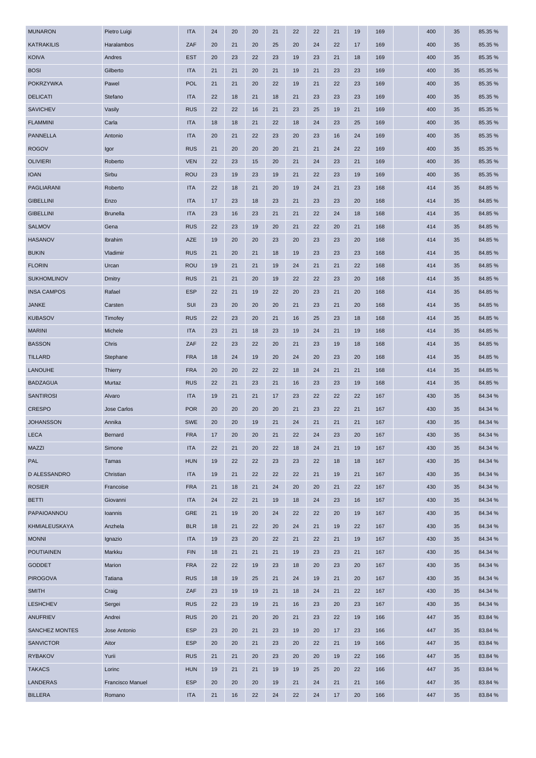| <b>MUNARON</b>       | Pietro Luigi     | <b>ITA</b> | 24 | 20 | 20 | 21 | 22 | 22 | 21 | 19 | 169 | 400 | 35 | 85.35 % |
|----------------------|------------------|------------|----|----|----|----|----|----|----|----|-----|-----|----|---------|
| <b>KATRAKILIS</b>    | Haralambos       | ZAF        | 20 | 21 | 20 | 25 | 20 | 24 | 22 | 17 | 169 | 400 | 35 | 85.35 % |
| <b>KOIVA</b>         | Andres           | <b>EST</b> | 20 | 23 | 22 | 23 | 19 | 23 | 21 | 18 | 169 | 400 | 35 | 85.35 % |
| <b>BOSI</b>          | Gilberto         | <b>ITA</b> | 21 | 21 | 20 | 21 | 19 | 21 | 23 | 23 | 169 | 400 | 35 | 85.35 % |
| <b>POKRZYWKA</b>     | Pawel            | <b>POL</b> | 21 | 21 | 20 | 22 | 19 | 21 | 22 | 23 | 169 | 400 | 35 | 85.35 % |
| <b>DELICATI</b>      | Stefano          | <b>ITA</b> | 22 | 18 | 21 | 18 | 21 | 23 | 23 | 23 | 169 | 400 | 35 | 85.35 % |
| <b>SAVICHEV</b>      | Vasily           | <b>RUS</b> | 22 | 22 | 16 | 21 | 23 | 25 | 19 | 21 | 169 | 400 | 35 | 85.35 % |
| <b>FLAMMINI</b>      | Carla            | <b>ITA</b> | 18 | 18 | 21 | 22 | 18 | 24 | 23 | 25 | 169 | 400 | 35 | 85.35 % |
| <b>PANNELLA</b>      | Antonio          | <b>ITA</b> | 20 | 21 | 22 | 23 | 20 | 23 | 16 | 24 | 169 | 400 | 35 | 85.35 % |
| <b>ROGOV</b>         | Igor             | <b>RUS</b> | 21 | 20 | 20 | 20 | 21 | 21 | 24 | 22 | 169 | 400 | 35 | 85.35 % |
| <b>OLIVIERI</b>      | Roberto          | <b>VEN</b> | 22 | 23 | 15 | 20 | 21 | 24 | 23 | 21 | 169 | 400 | 35 | 85.35 % |
| <b>IOAN</b>          | Sirbu            | <b>ROU</b> | 23 | 19 | 23 | 19 | 21 | 22 | 23 | 19 | 169 | 400 | 35 | 85.35 % |
| PAGLIARANI           | Roberto          | <b>ITA</b> | 22 | 18 | 21 | 20 | 19 | 24 | 21 | 23 | 168 | 414 | 35 | 84.85 % |
| <b>GIBELLINI</b>     | Enzo             | <b>ITA</b> | 17 | 23 | 18 | 23 | 21 | 23 | 23 | 20 | 168 | 414 | 35 | 84.85 % |
| <b>GIBELLINI</b>     | <b>Brunella</b>  | <b>ITA</b> | 23 | 16 | 23 | 21 | 21 | 22 | 24 | 18 | 168 | 414 | 35 | 84.85%  |
| <b>SALMOV</b>        | Gena             | <b>RUS</b> | 22 | 23 | 19 | 20 | 21 | 22 | 20 | 21 | 168 | 414 | 35 | 84.85 % |
| <b>HASANOV</b>       | Ibrahim          | AZE        | 19 | 20 | 20 | 23 | 20 | 23 | 23 | 20 | 168 | 414 | 35 | 84.85%  |
| <b>BUKIN</b>         | Vladimir         | <b>RUS</b> | 21 | 20 | 21 | 18 | 19 | 23 | 23 | 23 | 168 | 414 | 35 | 84.85 % |
| <b>FLORIN</b>        | Urcan            | <b>ROU</b> | 19 | 21 | 21 | 19 | 24 | 21 | 21 | 22 | 168 | 414 | 35 | 84.85 % |
| <b>SUKHOMLINOV</b>   | Dmitry           | <b>RUS</b> | 21 | 21 | 20 | 19 | 22 | 22 | 23 | 20 | 168 | 414 | 35 | 84.85%  |
| <b>INSA CAMPOS</b>   | Rafael           | <b>ESP</b> | 22 | 21 | 19 | 22 | 20 | 23 | 21 | 20 | 168 | 414 | 35 | 84.85%  |
| <b>JANKE</b>         | Carsten          | SUI        | 23 | 20 | 20 | 20 | 21 | 23 | 21 | 20 | 168 | 414 | 35 | 84.85%  |
| <b>KUBASOV</b>       | Timofey          | <b>RUS</b> | 22 | 23 | 20 | 21 | 16 | 25 | 23 | 18 | 168 | 414 | 35 | 84.85%  |
| <b>MARINI</b>        | Michele          | <b>ITA</b> | 23 | 21 | 18 | 23 | 19 | 24 | 21 | 19 | 168 | 414 | 35 | 84.85 % |
| <b>BASSON</b>        | Chris            | ZAF        | 22 | 23 | 22 | 20 | 21 | 23 | 19 | 18 | 168 | 414 | 35 | 84.85%  |
| <b>TILLARD</b>       | Stephane         | <b>FRA</b> | 18 | 24 | 19 | 20 | 24 | 20 | 23 | 20 | 168 | 414 | 35 | 84.85%  |
| <b>LANOUHE</b>       | Thierry          | <b>FRA</b> | 20 | 20 | 22 | 22 | 18 | 24 | 21 | 21 | 168 | 414 | 35 | 84.85 % |
| <b>BADZAGUA</b>      | Murtaz           | <b>RUS</b> | 22 | 21 | 23 | 21 | 16 | 23 | 23 | 19 | 168 | 414 | 35 | 84.85 % |
| <b>SANTIROSI</b>     | Alvaro           | <b>ITA</b> | 19 | 21 | 21 | 17 | 23 | 22 | 22 | 22 | 167 | 430 | 35 | 84.34 % |
| <b>CRESPO</b>        | Jose Carlos      | <b>POR</b> | 20 | 20 | 20 | 20 | 21 | 23 | 22 | 21 | 167 | 430 | 35 | 84.34 % |
| <b>JOHANSSON</b>     | Annika           | <b>SWE</b> | 20 | 20 | 19 | 21 | 24 | 21 | 21 | 21 | 167 | 430 | 35 | 84.34 % |
| <b>LECA</b>          | Bernard          | <b>FRA</b> | 17 | 20 | 20 | 21 | 22 | 24 | 23 | 20 | 167 | 430 | 35 | 84.34 % |
| <b>MAZZI</b>         | Simone           | <b>ITA</b> | 22 | 21 | 20 | 22 | 18 | 24 | 21 | 19 | 167 | 430 | 35 | 84.34 % |
| PAL                  | Tamas            | <b>HUN</b> | 19 | 22 | 22 | 23 | 23 | 22 | 18 | 18 | 167 | 430 | 35 | 84.34 % |
| D ALESSANDRO         | Christian        | <b>ITA</b> | 19 | 21 | 22 | 22 | 22 | 21 | 19 | 21 | 167 | 430 | 35 | 84.34 % |
| <b>ROSIER</b>        | Francoise        | <b>FRA</b> | 21 | 18 | 21 | 24 | 20 | 20 | 21 | 22 | 167 | 430 | 35 | 84.34 % |
| <b>BETTI</b>         | Giovanni         | <b>ITA</b> | 24 | 22 | 21 | 19 | 18 | 24 | 23 | 16 | 167 | 430 | 35 | 84.34 % |
| PAPAIOANNOU          | Ioannis          | <b>GRE</b> | 21 | 19 | 20 | 24 | 22 | 22 | 20 | 19 | 167 | 430 | 35 | 84.34 % |
| <b>KHMIALEUSKAYA</b> | Anzhela          | <b>BLR</b> | 18 | 21 | 22 | 20 | 24 | 21 | 19 | 22 | 167 | 430 | 35 | 84.34 % |
| <b>MONNI</b>         | Ignazio          | <b>ITA</b> | 19 | 23 | 20 | 22 | 21 | 22 | 21 | 19 | 167 | 430 | 35 | 84.34 % |
| <b>POUTIAINEN</b>    | Markku           | <b>FIN</b> | 18 | 21 | 21 | 21 | 19 | 23 | 23 | 21 | 167 | 430 | 35 | 84.34 % |
| <b>GODDET</b>        | Marion           | <b>FRA</b> | 22 | 22 | 19 | 23 | 18 | 20 | 23 | 20 | 167 | 430 | 35 | 84.34 % |
| <b>PIROGOVA</b>      | Tatiana          | <b>RUS</b> | 18 | 19 | 25 | 21 | 24 | 19 | 21 | 20 | 167 | 430 | 35 | 84.34 % |
| <b>SMITH</b>         | Craig            | ZAF        | 23 | 19 | 19 | 21 | 18 | 24 | 21 | 22 | 167 | 430 | 35 | 84.34 % |
| <b>LESHCHEV</b>      | Sergei           | <b>RUS</b> | 22 | 23 | 19 | 21 | 16 | 23 | 20 | 23 | 167 | 430 | 35 | 84.34 % |
| <b>ANUFRIEV</b>      | Andrei           | <b>RUS</b> | 20 | 21 | 20 | 20 | 21 | 23 | 22 | 19 | 166 | 447 | 35 | 83.84 % |
| SANCHEZ MONTES       | Jose Antonio     | <b>ESP</b> | 23 | 20 | 21 | 23 | 19 | 20 | 17 | 23 | 166 | 447 | 35 | 83.84 % |
| <b>SANVICTOR</b>     | Aitor            | <b>ESP</b> | 20 | 20 | 21 | 23 | 20 | 22 | 21 | 19 | 166 | 447 | 35 | 83.84 % |
| <b>RYBAKOV</b>       | Yurii            | <b>RUS</b> | 21 | 21 | 20 | 23 | 20 | 20 | 19 | 22 | 166 | 447 | 35 | 83.84 % |
| <b>TAKACS</b>        | Lorinc           | <b>HUN</b> | 19 | 21 | 21 | 19 | 19 | 25 | 20 | 22 | 166 | 447 | 35 | 83.84 % |
| LANDERAS             | Francisco Manuel | <b>ESP</b> | 20 | 20 | 20 | 19 | 21 | 24 | 21 | 21 | 166 | 447 | 35 | 83.84 % |
| <b>BILLERA</b>       | Romano           | <b>ITA</b> | 21 | 16 | 22 | 24 | 22 | 24 | 17 | 20 | 166 | 447 | 35 | 83.84 % |
|                      |                  |            |    |    |    |    |    |    |    |    |     |     |    |         |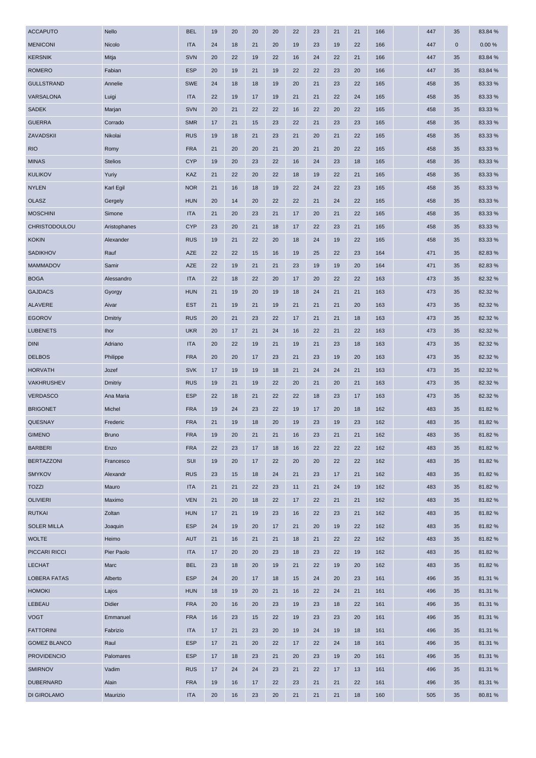| <b>ACCAPUTO</b>     | Nello          | <b>BEL</b> | 19 | 20 | 20 | 20 | 22 | 23 | 21 | 21 | 166 | 447 | 35          | 83.84 % |
|---------------------|----------------|------------|----|----|----|----|----|----|----|----|-----|-----|-------------|---------|
| <b>MENICONI</b>     | Nicolo         | <b>ITA</b> | 24 | 18 | 21 | 20 | 19 | 23 | 19 | 22 | 166 | 447 | $\mathbf 0$ | 0.00%   |
| <b>KERSNIK</b>      | Mitja          | <b>SVN</b> | 20 | 22 | 19 | 22 | 16 | 24 | 22 | 21 | 166 | 447 | 35          | 83.84 % |
| <b>ROMERO</b>       | Fabian         | <b>ESP</b> | 20 | 19 | 21 | 19 | 22 | 22 | 23 | 20 | 166 | 447 | 35          | 83.84 % |
| <b>GULLSTRAND</b>   | Annelie        | <b>SWE</b> | 24 | 18 | 18 | 19 | 20 | 21 | 23 | 22 | 165 | 458 | 35          | 83.33 % |
| VARSALONA           | Luigi          | <b>ITA</b> | 22 | 19 | 17 | 19 | 21 | 21 | 22 | 24 | 165 | 458 | 35          | 83.33 % |
| <b>SADEK</b>        | Marjan         | <b>SVN</b> | 20 | 21 | 22 | 22 | 16 | 22 | 20 | 22 | 165 | 458 | 35          | 83.33 % |
| <b>GUERRA</b>       | Corrado        | <b>SMR</b> | 17 | 21 | 15 | 23 | 22 | 21 | 23 | 23 | 165 | 458 | 35          | 83.33 % |
| ZAVADSKII           | Nikolai        | <b>RUS</b> | 19 | 18 | 21 | 23 | 21 | 20 | 21 | 22 | 165 | 458 | 35          | 83.33 % |
| <b>RIO</b>          | Romy           | <b>FRA</b> | 21 | 20 | 20 | 21 | 20 | 21 | 20 | 22 | 165 | 458 | 35          | 83.33 % |
| <b>MINAS</b>        | <b>Stelios</b> | <b>CYP</b> | 19 | 20 | 23 | 22 | 16 | 24 | 23 | 18 | 165 | 458 | 35          | 83.33 % |
| <b>KULIKOV</b>      | Yuriy          | KAZ        | 21 | 22 | 20 | 22 | 18 | 19 | 22 | 21 | 165 | 458 | 35          | 83.33 % |
| <b>NYLEN</b>        | Karl Egil      | <b>NOR</b> | 21 | 16 | 18 | 19 | 22 | 24 | 22 | 23 | 165 | 458 | 35          | 83.33 % |
| <b>OLASZ</b>        | Gergely        | <b>HUN</b> | 20 | 14 | 20 | 22 | 22 | 21 | 24 | 22 | 165 | 458 | 35          | 83.33 % |
| <b>MOSCHINI</b>     | Simone         | <b>ITA</b> | 21 | 20 | 23 | 21 | 17 | 20 | 21 | 22 | 165 | 458 | 35          | 83.33 % |
| CHRISTODOULOU       | Aristophanes   | <b>CYP</b> | 23 | 20 | 21 | 18 | 17 | 22 | 23 | 21 | 165 | 458 | 35          | 83.33 % |
| <b>KOKIN</b>        | Alexander      | <b>RUS</b> | 19 | 21 | 22 | 20 | 18 | 24 | 19 | 22 | 165 | 458 | 35          | 83.33 % |
| <b>SADIKHOV</b>     | Rauf           | <b>AZE</b> | 22 | 22 | 15 | 16 | 19 | 25 | 22 | 23 | 164 | 471 | 35          | 82.83%  |
| <b>MAMMADOV</b>     | Samir          | AZE        | 22 | 19 | 21 | 21 | 23 | 19 | 19 | 20 | 164 | 471 | 35          | 82.83%  |
| <b>BOGA</b>         | Alessandro     | <b>ITA</b> | 22 | 18 | 22 | 20 | 17 | 20 | 22 | 22 | 163 | 473 | 35          | 82.32 % |
| <b>GAJDACS</b>      | Gyorgy         | <b>HUN</b> | 21 | 19 | 20 | 19 | 18 | 24 | 21 | 21 | 163 | 473 | 35          | 82.32 % |
| <b>ALAVERE</b>      | Aivar          | <b>EST</b> | 21 | 19 | 21 | 19 | 21 | 21 | 21 | 20 | 163 | 473 | 35          | 82.32 % |
| <b>EGOROV</b>       | Dmitriy        | <b>RUS</b> | 20 | 21 | 23 | 22 | 17 | 21 | 21 | 18 | 163 | 473 | 35          | 82.32 % |
| <b>LUBENETS</b>     | <b>Ihor</b>    | <b>UKR</b> | 20 | 17 | 21 | 24 | 16 | 22 | 21 | 22 | 163 | 473 | 35          | 82.32 % |
| <b>DINI</b>         | Adriano        | <b>ITA</b> | 20 | 22 | 19 | 21 | 19 | 21 | 23 | 18 | 163 | 473 | 35          | 82.32 % |
| <b>DELBOS</b>       | Philippe       | <b>FRA</b> | 20 | 20 | 17 | 23 | 21 | 23 | 19 | 20 | 163 | 473 | 35          | 82.32 % |
| <b>HORVATH</b>      | Jozef          | <b>SVK</b> | 17 | 19 | 19 | 18 | 21 | 24 | 24 | 21 | 163 | 473 | 35          | 82.32 % |
| VAKHRUSHEV          | Dmitriy        | <b>RUS</b> | 19 | 21 | 19 | 22 | 20 | 21 | 20 | 21 | 163 | 473 | 35          | 82.32 % |
| <b>VERDASCO</b>     | Ana Maria      | <b>ESP</b> | 22 | 18 | 21 | 22 | 22 | 18 | 23 | 17 | 163 | 473 | 35          | 82.32 % |
| <b>BRIGONET</b>     | Michel         | <b>FRA</b> | 19 | 24 | 23 | 22 | 19 | 17 | 20 | 18 | 162 | 483 | 35          | 81.82%  |
| <b>QUESNAY</b>      | Frederic       | <b>FRA</b> | 21 | 19 | 18 | 20 | 19 | 23 | 19 | 23 | 162 | 483 | 35          | 81.82%  |
| <b>GIMENO</b>       | <b>Bruno</b>   | <b>FRA</b> | 19 | 20 | 21 | 21 | 16 | 23 | 21 | 21 | 162 | 483 | 35          | 81.82%  |
| <b>BARBERI</b>      | Enzo           | <b>FRA</b> | 22 | 23 | 17 | 18 | 16 | 22 | 22 | 22 | 162 | 483 | 35          | 81.82%  |
| <b>BERTAZZONI</b>   | Francesco      | SUI        | 19 | 20 | 17 | 22 | 20 | 20 | 22 | 22 | 162 | 483 | 35          | 81.82%  |
| <b>SMYKOV</b>       | Alexandr       | <b>RUS</b> | 23 | 15 | 18 | 24 | 21 | 23 | 17 | 21 | 162 | 483 | 35          | 81.82%  |
| <b>TOZZI</b>        | Mauro          | <b>ITA</b> | 21 | 21 | 22 | 23 | 11 | 21 | 24 | 19 | 162 | 483 | 35          | 81.82%  |
| <b>OLIVIERI</b>     | Maximo         | <b>VEN</b> | 21 | 20 | 18 | 22 | 17 | 22 | 21 | 21 | 162 | 483 | 35          | 81.82%  |
| <b>RUTKAI</b>       | Zoltan         | <b>HUN</b> | 17 | 21 | 19 | 23 | 16 | 22 | 23 | 21 | 162 | 483 | 35          | 81.82%  |
| <b>SOLER MILLA</b>  | Joaquin        | <b>ESP</b> | 24 | 19 | 20 | 17 | 21 | 20 | 19 | 22 | 162 | 483 | 35          | 81.82%  |
| <b>WOLTE</b>        | Heimo          | <b>AUT</b> | 21 | 16 | 21 | 21 | 18 | 21 | 22 | 22 | 162 | 483 | 35          | 81.82%  |
| PICCARI RICCI       | Pier Paolo     | <b>ITA</b> | 17 | 20 | 20 | 23 | 18 | 23 | 22 | 19 | 162 | 483 | 35          | 81.82%  |
| <b>LECHAT</b>       | Marc           | <b>BEL</b> | 23 | 18 | 20 | 19 | 21 | 22 | 19 | 20 | 162 | 483 | 35          | 81.82%  |
| <b>LOBERA FATAS</b> | Alberto        | <b>ESP</b> | 24 | 20 | 17 | 18 | 15 | 24 | 20 | 23 | 161 | 496 | 35          | 81.31 % |
| <b>HOMOKI</b>       | Lajos          | <b>HUN</b> | 18 | 19 | 20 | 21 | 16 | 22 | 24 | 21 | 161 | 496 | 35          | 81.31 % |
| LEBEAU              | Didier         | <b>FRA</b> | 20 | 16 | 20 | 23 | 19 | 23 | 18 | 22 | 161 | 496 | 35          | 81.31 % |
| <b>VOGT</b>         | Emmanuel       | <b>FRA</b> | 16 | 23 | 15 | 22 | 19 | 23 | 23 | 20 | 161 | 496 | 35          | 81.31 % |
| <b>FATTORINI</b>    | Fabrizio       | <b>ITA</b> | 17 | 21 | 23 | 20 | 19 | 24 | 19 | 18 | 161 | 496 | 35          | 81.31 % |
| <b>GOMEZ BLANCO</b> | Raul           | <b>ESP</b> | 17 | 21 | 20 | 22 | 17 | 22 | 24 | 18 | 161 | 496 | 35          | 81.31 % |
| <b>PROVIDENCIO</b>  | Palomares      | <b>ESP</b> | 17 | 18 | 23 | 21 | 20 | 23 | 19 | 20 | 161 | 496 | 35          | 81.31 % |
| <b>SMIRNOV</b>      | Vadim          | <b>RUS</b> | 17 | 24 | 24 | 23 | 21 | 22 | 17 | 13 | 161 | 496 | 35          | 81.31 % |
| <b>DUBERNARD</b>    | Alain          | <b>FRA</b> | 19 | 16 | 17 | 22 | 23 | 21 | 21 | 22 | 161 | 496 | 35          | 81.31%  |
| <b>DI GIROLAMO</b>  | Maurizio       | <b>ITA</b> | 20 | 16 | 23 | 20 | 21 | 21 | 21 | 18 | 160 | 505 | 35          | 80.81%  |
|                     |                |            |    |    |    |    |    |    |    |    |     |     |             |         |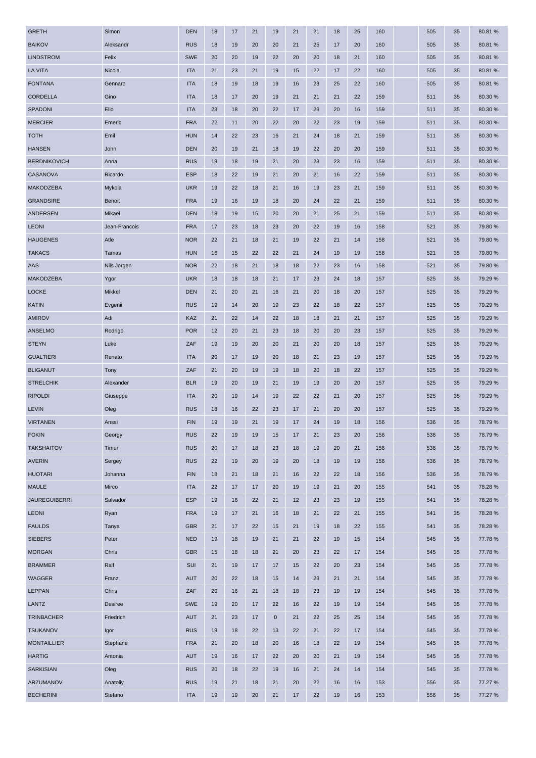| <b>GRETH</b>         | Simon         | <b>DEN</b> | 18 | 17 | 21 | 19        | 21 | 21 | 18 | 25 | 160 | 505 | 35 | 80.81%  |
|----------------------|---------------|------------|----|----|----|-----------|----|----|----|----|-----|-----|----|---------|
| <b>BAIKOV</b>        | Aleksandr     | <b>RUS</b> | 18 | 19 | 20 | 20        | 21 | 25 | 17 | 20 | 160 | 505 | 35 | 80.81%  |
| <b>LINDSTROM</b>     | Felix         | <b>SWE</b> | 20 | 20 | 19 | 22        | 20 | 20 | 18 | 21 | 160 | 505 | 35 | 80.81%  |
| LA VITA              | Nicola        | <b>ITA</b> | 21 | 23 | 21 | 19        | 15 | 22 | 17 | 22 | 160 | 505 | 35 | 80.81%  |
| <b>FONTANA</b>       | Gennaro       | <b>ITA</b> | 18 | 19 | 18 | 19        | 16 | 23 | 25 | 22 | 160 | 505 | 35 | 80.81%  |
| <b>CORDELLA</b>      | Gino          | <b>ITA</b> | 18 | 17 | 20 | 19        | 21 | 21 | 21 | 22 | 159 | 511 | 35 | 80.30 % |
| SPADONI              | Elio          | <b>ITA</b> | 23 | 18 | 20 | 22        | 17 | 23 | 20 | 16 | 159 | 511 | 35 | 80.30 % |
| <b>MERCIER</b>       | Emeric        | <b>FRA</b> | 22 | 11 | 20 | 22        | 20 | 22 | 23 | 19 | 159 | 511 | 35 | 80.30 % |
| <b>TOTH</b>          | Emil          | <b>HUN</b> | 14 | 22 | 23 | 16        | 21 | 24 | 18 | 21 | 159 | 511 | 35 | 80.30 % |
| <b>HANSEN</b>        | John          | <b>DEN</b> | 20 | 19 | 21 | 18        | 19 | 22 | 20 | 20 | 159 | 511 | 35 | 80.30 % |
| <b>BERDNIKOVICH</b>  | Anna          | <b>RUS</b> | 19 | 18 | 19 | 21        | 20 | 23 | 23 | 16 | 159 | 511 | 35 | 80.30 % |
| CASANOVA             | Ricardo       | <b>ESP</b> | 18 | 22 | 19 | 21        | 20 | 21 | 16 | 22 | 159 | 511 | 35 | 80.30 % |
| <b>MAKODZEBA</b>     | Mykola        | <b>UKR</b> | 19 | 22 | 18 | 21        | 16 | 19 | 23 | 21 | 159 | 511 | 35 | 80.30 % |
| <b>GRANDSIRE</b>     | <b>Benoit</b> | <b>FRA</b> | 19 | 16 | 19 | 18        | 20 | 24 | 22 | 21 | 159 | 511 | 35 | 80.30 % |
| ANDERSEN             | Mikael        | <b>DEN</b> | 18 | 19 | 15 | 20        | 20 | 21 | 25 | 21 | 159 | 511 | 35 | 80.30 % |
| <b>LEONI</b>         | Jean-Francois | <b>FRA</b> | 17 | 23 | 18 | 23        | 20 | 22 | 19 | 16 | 158 | 521 | 35 | 79.80 % |
| <b>HAUGENES</b>      | Atle          | <b>NOR</b> | 22 | 21 | 18 | 21        | 19 | 22 | 21 | 14 | 158 | 521 | 35 | 79.80 % |
| <b>TAKACS</b>        | Tamas         | <b>HUN</b> | 16 | 15 | 22 | 22        | 21 | 24 | 19 | 19 | 158 | 521 | 35 | 79.80 % |
| AAS                  | Nils Jorgen   | <b>NOR</b> | 22 | 18 | 21 | 18        | 18 | 22 | 23 | 16 | 158 | 521 | 35 | 79.80 % |
| MAKODZEBA            | Ygor          | <b>UKR</b> | 18 | 18 | 18 | 21        | 17 | 23 | 24 | 18 | 157 | 525 | 35 | 79.29 % |
| <b>LOCKE</b>         | Mikkel        | <b>DEN</b> | 21 | 20 | 21 | 16        | 21 | 20 | 18 | 20 | 157 | 525 | 35 | 79.29 % |
| <b>KATIN</b>         | Evgenii       | <b>RUS</b> | 19 | 14 | 20 | 19        | 23 | 22 | 18 | 22 | 157 | 525 | 35 | 79.29 % |
| <b>AMIROV</b>        | Adi           | KAZ        | 21 | 22 | 14 | 22        | 18 | 18 | 21 | 21 | 157 | 525 | 35 | 79.29 % |
| ANSELMO              | Rodrigo       | <b>POR</b> | 12 | 20 | 21 | 23        | 18 | 20 | 20 | 23 | 157 | 525 | 35 | 79.29 % |
| <b>STEYN</b>         | Luke          | ZAF        | 19 | 19 | 20 | 20        | 21 | 20 | 20 | 18 | 157 | 525 | 35 | 79.29 % |
| <b>GUALTIERI</b>     | Renato        | <b>ITA</b> | 20 | 17 | 19 | 20        | 18 | 21 | 23 | 19 | 157 | 525 | 35 | 79.29 % |
| <b>BLIGANUT</b>      | Tony          | ZAF        | 21 | 20 | 19 | 19        | 18 | 20 | 18 | 22 | 157 | 525 | 35 | 79.29 % |
| <b>STRELCHIK</b>     | Alexander     | <b>BLR</b> | 19 | 20 | 19 | 21        | 19 | 19 | 20 | 20 | 157 | 525 | 35 | 79.29 % |
| <b>RIPOLDI</b>       | Giuseppe      | <b>ITA</b> | 20 | 19 | 14 | 19        | 22 | 22 | 21 | 20 | 157 | 525 | 35 | 79.29 % |
| <b>LEVIN</b>         | Oleg          | <b>RUS</b> | 18 | 16 | 22 | 23        | 17 | 21 | 20 | 20 | 157 | 525 | 35 | 79.29 % |
| <b>VIRTANEN</b>      | Anssi         | <b>FIN</b> | 19 | 19 | 21 | 19        | 17 | 24 | 19 | 18 | 156 | 536 | 35 | 78.79 % |
| <b>FOKIN</b>         | Georgy        | <b>RUS</b> | 22 | 19 | 19 | 15        | 17 | 21 | 23 | 20 | 156 | 536 | 35 | 78.79%  |
| <b>TAKSHAITOV</b>    | Timur         | <b>RUS</b> | 20 | 17 | 18 | 23        | 18 | 19 | 20 | 21 | 156 | 536 | 35 | 78.79%  |
| <b>AVERIN</b>        | Sergey        | <b>RUS</b> | 22 | 19 | 20 | 19        | 20 | 18 | 19 | 19 | 156 | 536 | 35 | 78.79%  |
| <b>HUOTARI</b>       | Johanna       | <b>FIN</b> | 18 | 21 | 18 | 21        | 16 | 22 | 22 | 18 | 156 | 536 | 35 | 78.79%  |
| <b>MAULE</b>         | Mirco         | <b>ITA</b> | 22 | 17 | 17 | 20        | 19 | 19 | 21 | 20 | 155 | 541 | 35 | 78.28%  |
| <b>JAUREGUIBERRI</b> | Salvador      | <b>ESP</b> | 19 | 16 | 22 | 21        | 12 | 23 | 23 | 19 | 155 | 541 | 35 | 78.28%  |
| <b>LEONI</b>         | Ryan          | <b>FRA</b> | 19 | 17 | 21 | 16        | 18 | 21 | 22 | 21 | 155 | 541 | 35 | 78.28%  |
| <b>FAULDS</b>        | Tanya         | <b>GBR</b> | 21 | 17 | 22 | 15        | 21 | 19 | 18 | 22 | 155 | 541 | 35 | 78.28%  |
| <b>SIEBERS</b>       | Peter         | <b>NED</b> | 19 | 18 | 19 | 21        | 21 | 22 | 19 | 15 | 154 | 545 | 35 | 77.78 % |
| <b>MORGAN</b>        | Chris         | <b>GBR</b> | 15 | 18 | 18 | 21        | 20 | 23 | 22 | 17 | 154 | 545 | 35 | 77.78 % |
| <b>BRAMMER</b>       | Ralf          | SUI        | 21 | 19 | 17 | 17        | 15 | 22 | 20 | 23 | 154 | 545 | 35 | 77.78%  |
| WAGGER               | Franz         | <b>AUT</b> | 20 | 22 | 18 | 15        | 14 | 23 | 21 | 21 | 154 | 545 | 35 | 77.78%  |
| <b>LEPPAN</b>        | Chris         | ZAF        | 20 | 16 | 21 | 18        | 18 | 23 | 19 | 19 | 154 | 545 | 35 | 77.78 % |
| LANTZ                | Desiree       | <b>SWE</b> | 19 | 20 | 17 | 22        | 16 | 22 | 19 | 19 | 154 | 545 | 35 | 77.78 % |
| <b>TRINBACHER</b>    | Friedrich     | <b>AUT</b> | 21 | 23 | 17 | $\pmb{0}$ | 21 | 22 | 25 | 25 | 154 | 545 | 35 | 77.78%  |
| <b>TSUKANOV</b>      | Igor          | <b>RUS</b> | 19 | 18 | 22 | 13        | 22 | 21 | 22 | 17 | 154 | 545 | 35 | 77.78%  |
| <b>MONTAILLIER</b>   | Stephane      | <b>FRA</b> | 21 | 20 | 18 | 20        | 16 | 18 | 22 | 19 | 154 | 545 | 35 | 77.78%  |
| <b>HARTIG</b>        | Antonia       | <b>AUT</b> | 19 | 16 | 17 | 22        | 20 | 20 | 21 | 19 | 154 | 545 | 35 | 77.78 % |
| <b>SARKISIAN</b>     | Oleg          | <b>RUS</b> | 20 | 18 | 22 | 19        | 16 | 21 | 24 | 14 | 154 | 545 | 35 | 77.78 % |
| ARZUMANOV            | Anatoliy      | <b>RUS</b> | 19 | 21 | 18 | 21        | 20 | 22 | 16 | 16 | 153 | 556 | 35 | 77.27 % |
| <b>BECHERINI</b>     | Stefano       | <b>ITA</b> | 19 | 19 | 20 | 21        | 17 | 22 | 19 | 16 | 153 | 556 | 35 | 77.27 % |
|                      |               |            |    |    |    |           |    |    |    |    |     |     |    |         |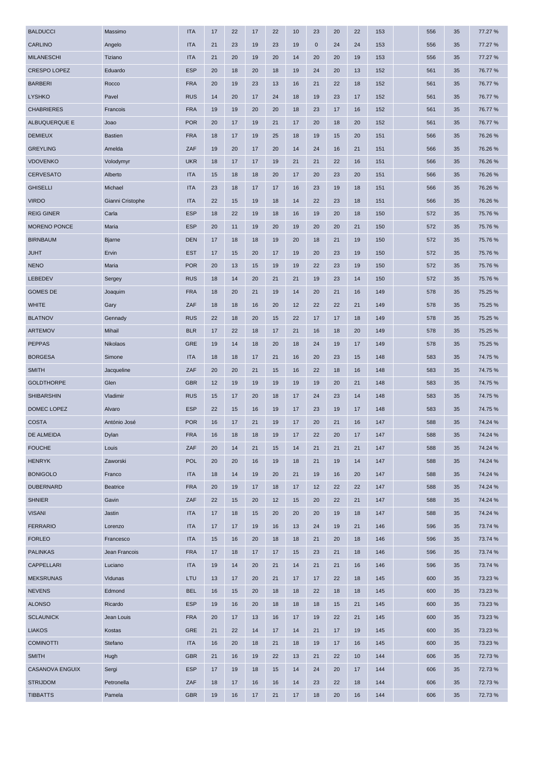| <b>BALDUCCI</b>                    | Massimo              | <b>ITA</b>               | 17       | 22       | 17       | 22       | 10       | 23          | 20       | 22       | 153        | 556        | 35       | 77.27 %          |
|------------------------------------|----------------------|--------------------------|----------|----------|----------|----------|----------|-------------|----------|----------|------------|------------|----------|------------------|
| CARLINO                            | Angelo               | <b>ITA</b>               | 21       | 23       | 19       | 23       | 19       | $\mathbf 0$ | 24       | 24       | 153        | 556        | 35       | 77.27 %          |
| <b>MILANESCHI</b>                  | Tiziano              | <b>ITA</b>               | 21       | 20       | 19       | 20       | 14       | 20          | 20       | 19       | 153        | 556        | 35       | 77.27 %          |
| CRESPO LOPEZ                       | Eduardo              | <b>ESP</b>               | 20       | 18       | 20       | 18       | 19       | 24          | 20       | 13       | 152        | 561        | 35       | 76.77 %          |
| <b>BARBERI</b>                     | Rocco                | <b>FRA</b>               | 20       | 19       | 23       | 13       | 16       | 21          | 22       | 18       | 152        | 561        | 35       | 76.77 %          |
| <b>LYSHKO</b>                      | Pavel                | <b>RUS</b>               | 14       | 20       | 17       | 24       | 18       | 19          | 23       | 17       | 152        | 561        | 35       | 76.77 %          |
| <b>CHABRIERES</b>                  | Francois             | <b>FRA</b>               | 19       | 19       | 20       | 20       | 18       | 23          | 17       | 16       | 152        | 561        | 35       | 76.77 %          |
| ALBUQUERQUE E                      | Joao                 | <b>POR</b>               | 20       | 17       | 19       | 21       | 17       | 20          | 18       | 20       | 152        | 561        | 35       | 76.77 %          |
| <b>DEMIEUX</b>                     | <b>Bastien</b>       | <b>FRA</b>               | 18       | 17       | 19       | 25       | 18       | 19          | 15       | 20       | 151        | 566        | 35       | 76.26 %          |
| <b>GREYLING</b>                    | Amelda               | ZAF                      | 19       | 20       | 17       | 20       | 14       | 24          | 16       | 21       | 151        | 566        | 35       | 76.26 %          |
| <b>VDOVENKO</b>                    | Volodymyr            | <b>UKR</b>               | 18       | 17       | 17       | 19       | 21       | 21          | 22       | 16       | 151        | 566        | 35       | 76.26 %          |
| <b>CERVESATO</b>                   | Alberto              | <b>ITA</b>               | 15       | 18       | 18       | 20       | 17       | 20          | 23       | 20       | 151        | 566        | 35       | 76.26%           |
| <b>GHISELLI</b>                    | Michael              | <b>ITA</b>               | 23       | 18       | 17       | 17       | 16       | 23          | 19       | 18       | 151        | 566        | 35       | 76.26%           |
| <b>VIRDO</b>                       | Gianni Cristophe     | <b>ITA</b>               | 22       | 15       | 19       | 18       | 14       | 22          | 23       | 18       | 151        | 566        | 35       | 76.26%           |
| <b>REIG GINER</b>                  | Carla                | <b>ESP</b>               | 18       | 22       | 19       | 18       | 16       | 19          | 20       | 18       | 150        | 572        | 35       | 75.76 %          |
| <b>MORENO PONCE</b>                | Maria                | <b>ESP</b>               | 20       | 11       | 19       | 20       | 19       | 20          | 20       | 21       | 150        | 572        | 35       | 75.76 %          |
| <b>BIRNBAUM</b>                    | <b>Bjarne</b>        | <b>DEN</b>               | 17       | 18       | 18       | 19       | 20       | 18          | 21       | 19       | 150        | 572        | 35       | 75.76 %          |
| JUHT                               | Ervin                | <b>EST</b>               | 17       | 15       | 20       | 17       | 19       | 20          | 23       | 19       | 150        | 572        | 35       | 75.76 %          |
| <b>NENO</b>                        | Maria                | <b>POR</b>               | 20       | 13       | 15       | 19       | 19       | 22          | 23       | 19       | 150        | 572        | 35       | 75.76 %          |
| LEBEDEV                            | Sergey               | <b>RUS</b>               | 18       | 14       | 20       | 21       | 21       | 19          | 23       | 14       | 150        | 572        | 35       | 75.76 %          |
| <b>GOMES DE</b>                    | Joaquim              | <b>FRA</b>               | 18       | 20       | 21       | 19       | 14       | 20          | 21       | 16       | 149        | 578        | 35       | 75.25 %          |
| <b>WHITE</b>                       | Gary                 | ZAF                      | 18       | 18       | 16       | 20       | 12       | 22          | 22       | 21       | 149        | 578        | 35       | 75.25 %          |
| <b>BLATNOV</b>                     | Gennady              | <b>RUS</b>               | 22       | 18       | 20       | 15       | 22       | 17          | 17       | 18       | 149        | 578        | 35       | 75.25 %          |
| <b>ARTEMOV</b>                     | Mihail               | <b>BLR</b>               | 17       | 22       | 18       | 17       | 21       | 16          | 18       | 20       | 149        | 578        | 35       | 75.25 %          |
| <b>PEPPAS</b>                      | Nikolaos             | GRE                      | 19       | 14       | 18       | 20       | 18       | 24          | 19       | 17       | 149        | 578        | 35       | 75.25 %          |
| <b>BORGESA</b>                     | Simone               | <b>ITA</b>               | 18       | 18       | 17       | 21       | 16       | 20          | 23       | 15       | 148        | 583        | 35       | 74.75 %          |
| <b>SMITH</b>                       | Jacqueline           | ZAF                      | 20       | 20       | 21       | 15       | 16       | 22          | 18       | 16       | 148        | 583        | 35       | 74.75%           |
| <b>GOLDTHORPE</b>                  | Glen                 | <b>GBR</b>               | 12       | 19       | 19       | 19       | 19       | 19          | 20       | 21       | 148        | 583        | 35       | 74.75 %          |
| <b>SHIBARSHIN</b>                  | Vladimir             | <b>RUS</b>               | 15       | 17       | 20       | 18       | 17       | 24          | 23       | 14       | 148        | 583        | 35       | 74.75 %          |
| DOMEC LOPEZ                        | Alvaro               | <b>ESP</b>               | 22       | 15       | 16       | 19       | 17       | 23          | 19       | 17       | 148        | 583        | 35       | 74.75%           |
| <b>COSTA</b>                       | António José         | <b>POR</b>               | 16       | 17       | 21       | 19       | 17       | 20          | 21       | 16       | 147        | 588        | 35       | 74.24 %          |
| DE ALMEIDA                         | Dylan                | <b>FRA</b>               | 16       | 18       | 18       | 19       | 17       | 22          | 20       | 17       | 147        | 588        | 35       | 74.24 %          |
| <b>FOUCHE</b>                      | Louis                | ZAF                      | 20       | 14       | 21       | 15       | 14       | 21          | 21       | 21       | 147        | 588        | 35       | 74.24 %          |
| <b>HENRYK</b>                      | Zaworski             | <b>POL</b>               | 20       | 20       | 16       | 19       | 18       | 21          | 19       | 14       | 147        | 588        | 35       | 74.24 %          |
| <b>BONIGOLO</b>                    | Franco               | <b>ITA</b>               | 18       | 14       | 19       | 20       | 21       | 19          | 16       | 20       | 147        | 588        | 35       | 74.24 %          |
| <b>DUBERNARD</b>                   | Beatrice             | <b>FRA</b>               | 20       | 19       | 17       | 18       | 17       | 12          | 22       | 22       | 147        | 588        | 35       | 74.24 %          |
| <b>SHNIER</b>                      | Gavin                | ZAF                      | 22       | 15       | 20       | 12       | 15       | 20          | 22       | 21       | 147        | 588        | 35       | 74.24 %          |
| <b>VISANI</b>                      | Jastin               | <b>ITA</b>               | 17       | 18       | 15       | 20       | 20       | 20          | 19       | 18       | 147        | 588        | 35       | 74.24 %          |
| <b>FERRARIO</b>                    | Lorenzo              | <b>ITA</b>               | 17       | 17       | 19       | 16       | 13       | 24          | 19       | 21       | 146        | 596        | 35       | 73.74 %          |
| <b>FORLEO</b>                      | Francesco            | <b>ITA</b>               | 15       | 16       | 20       | 18       | 18       | 21          | 20       | 18       | 146        | 596        | 35       | 73.74 %          |
| <b>PALINKAS</b>                    | Jean Francois        | <b>FRA</b>               | 17       | 18       | 17       | 17       | 15       | 23          | 21       | 18       | 146        | 596        | 35       | 73.74 %          |
| CAPPELLARI                         | Luciano              | <b>ITA</b>               | 19       | 14       | 20       | 21       | 14       | 21          | 21       | 16       | 146        | 596        | 35       | 73.74 %          |
| <b>MEKSRUNAS</b>                   | Vidunas              | LTU                      | 13       | 17       | 20       | 21       | 17       | 17          | 22       | 18       | 145        | 600        | 35       | 73.23 %          |
|                                    |                      |                          |          |          |          |          |          |             |          |          |            |            |          |                  |
| <b>NEVENS</b><br><b>ALONSO</b>     | Edmond<br>Ricardo    | <b>BEL</b><br><b>ESP</b> | 16       | 15       | 20       | 18       | 18       | 22          | 18       | 18       | 145        | 600<br>600 | 35       | 73.23%<br>73.23% |
|                                    |                      |                          | 19       | 16       | 20       | 18       | 18       | 18          | 15       | 21       | 145        |            | 35       |                  |
| <b>SCLAUNICK</b><br><b>LIAKOS</b>  | Jean Louis           | <b>FRA</b>               | 20       | 17<br>22 | 13<br>14 | 16       | 17       | 19          | 22       | 21       | 145        | 600        | 35       | 73.23%           |
|                                    |                      |                          |          |          |          | 17       | 14       | 21          | 17       | 19       | 145        | 600        | 35       | 73.23 %          |
|                                    | Kostas               | GRE                      | 21       |          |          |          |          |             |          |          |            |            |          |                  |
| <b>COMINOTTI</b>                   | Stefano              | <b>ITA</b>               | 16       | 20       | 18       | 21       | 18       | 19          | 17       | 16       | 145        | 600        | 35       | 73.23%           |
| <b>SMITH</b>                       | Hugh                 | <b>GBR</b>               | 21       | 16       | 19       | 22       | 13       | 21          | 22       | 10       | 144        | 606        | 35       | 72.73%           |
| <b>CASANOVA ENGUIX</b>             | Sergi                | <b>ESP</b>               | 17       | 19       | 18       | 15       | 14       | 24          | 20       | 17       | 144        | 606        | 35       | 72.73%           |
| <b>STRIJDOM</b><br><b>TIBBATTS</b> | Petronella<br>Pamela | ZAF<br><b>GBR</b>        | 18<br>19 | 17<br>16 | 16<br>17 | 16<br>21 | 14<br>17 | 23<br>18    | 22<br>20 | 18<br>16 | 144<br>144 | 606<br>606 | 35<br>35 | 72.73%<br>72.73% |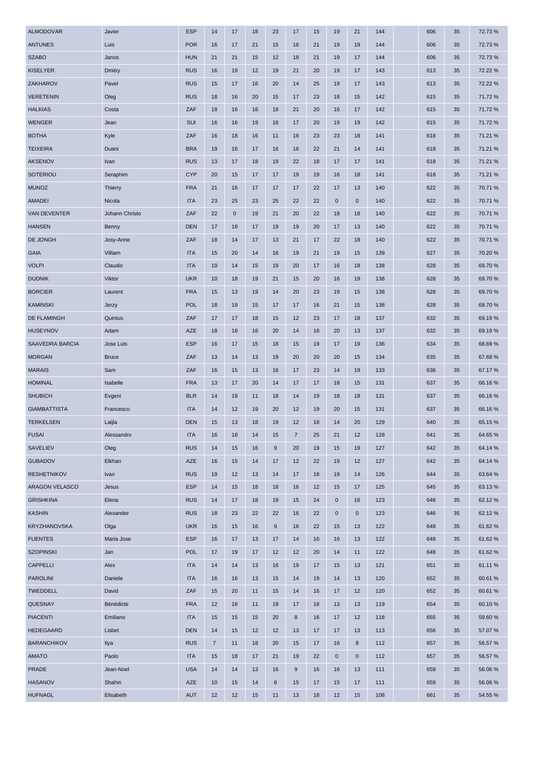| <b>ALMODOVAR</b>      | Javier         | <b>ESP</b> | 14             | 17          | 18 | 23               | 17             | 15 | 19        | 21           | 144 | 606 | 35 | 72.73%  |
|-----------------------|----------------|------------|----------------|-------------|----|------------------|----------------|----|-----------|--------------|-----|-----|----|---------|
| <b>ANTUNES</b>        | Luis           | <b>POR</b> | 16             | 17          | 21 | 15               | 16             | 21 | 19        | 19           | 144 | 606 | 35 | 72.73%  |
| <b>SZABO</b>          | Janos          | <b>HUN</b> | 21             | 21          | 15 | 12               | 18             | 21 | 19        | 17           | 144 | 606 | 35 | 72.73%  |
| <b>KISELYER</b>       | Dmitry         | <b>RUS</b> | 16             | 19          | 12 | 19               | 21             | 20 | 19        | 17           | 143 | 613 | 35 | 72.22 % |
| ZAKHAROV              | Pavel          | <b>RUS</b> | 15             | 17          | 16 | 20               | 14             | 25 | 19        | 17           | 143 | 613 | 35 | 72.22 % |
| <b>VERETENIN</b>      | Oleg           | <b>RUS</b> | 18             | 16          | 20 | 15               | 17             | 23 | 18        | 15           | 142 | 615 | 35 | 71.72%  |
| <b>HALKIAS</b>        | Costa          | ZAF        | 18             | 16          | 16 | 18               | 21             | 20 | 16        | 17           | 142 | 615 | 35 | 71.72%  |
| <b>WENGER</b>         | Jean           | SUI        | 16             | 16          | 19 | 16               | 17             | 20 | 19        | 19           | 142 | 615 | 35 | 71.72%  |
| <b>BOTHA</b>          | Kyle           | ZAF        | 16             | 18          | 16 | 11               | 16             | 23 | 23        | 18           | 141 | 618 | 35 | 71.21 % |
| <b>TEIXEIRA</b>       | Duani          | <b>BRA</b> | 19             | 16          | 17 | 16               | 16             | 22 | 21        | 14           | 141 | 618 | 35 | 71.21 % |
| <b>AKSENOV</b>        | Ivan           | <b>RUS</b> | 13             | 17          | 18 | 19               | 22             | 18 | 17        | 17           | 141 | 618 | 35 | 71.21 % |
| <b>SOTERIOU</b>       | Seraphim       | <b>CYP</b> | 20             | 15          | 17 | 17               | 19             | 19 | 16        | 18           | 141 | 618 | 35 | 71.21 % |
| <b>MUNOZ</b>          | <b>Thierry</b> | <b>FRA</b> | 21             | 16          | 17 | 17               | 17             | 22 | 17        | 13           | 140 | 622 | 35 | 70.71%  |
| <b>AMADEI</b>         | Nicola         | <b>ITA</b> | 23             | 25          | 23 | 25               | 22             | 22 | 0         | $\mathbf 0$  | 140 | 622 | 35 | 70.71%  |
| VAN DEVENTER          | Johann Christo | ZAF        | 22             | $\mathbf 0$ | 19 | 21               | 20             | 22 | 18        | 18           | 140 | 622 | 35 | 70.71 % |
| <b>HANSEN</b>         | Benny          | <b>DEN</b> | 17             | 18          | 17 | 19               | 19             | 20 | 17        | 13           | 140 | 622 | 35 | 70.71%  |
| DE JONGH              | Josy-Anne      | ZAF        | 18             | 14          | 17 | 13               | 21             | 17 | 22        | 18           | 140 | 622 | 35 | 70.71 % |
| <b>GAIA</b>           | Villiam        | <b>ITA</b> | 15             | 20          | 14 | 16               | 19             | 21 | 19        | 15           | 139 | 627 | 35 | 70.20%  |
| <b>VOLPI</b>          | Claudio        | <b>ITA</b> | 19             | 14          | 15 | 19               | 20             | 17 | 16        | 18           | 138 | 628 | 35 | 69.70%  |
| <b>DUDNIK</b>         | Viktor         | <b>UKR</b> | 10             | 18          | 19 | 21               | 15             | 20 | 16        | 19           | 138 | 628 | 35 | 69.70%  |
| <b>BORCIER</b>        | Laurent        | <b>FRA</b> | 15             | 13          | 19 | 14               | 20             | 23 | 19        | 15           | 138 | 628 | 35 | 69.70%  |
| <b>KAMINSKI</b>       | Jerzy          | <b>POL</b> | 18             | 19          | 15 | 17               | 17             | 16 | 21        | 15           | 138 | 628 | 35 | 69.70%  |
| <b>DE FLAMINGH</b>    | Quintus        | ZAF        | 17             | 17          | 18 | 15               | 12             | 23 | 17        | 18           | 137 | 632 | 35 | 69.19%  |
| <b>HUSEYNOV</b>       | Adam           | AZE        | 18             | 18          | 16 | 20               | 14             | 18 | 20        | 13           | 137 | 632 | 35 | 69.19%  |
| SAAVEDRA BARCIA       | Jose Luis      | <b>ESP</b> | 16             | 17          | 15 | 18               | 15             | 19 | 17        | 19           | 136 | 634 | 35 | 68.69%  |
| <b>MORGAN</b>         | <b>Bruce</b>   | ZAF        | 13             | 14          | 13 | 19               | 20             | 20 | 20        | 15           | 134 | 635 | 35 | 67.68%  |
| <b>MARAIS</b>         | Sam            | ZAF        | 16             | 15          | 13 | 16               | 17             | 23 | 14        | 19           | 133 | 636 | 35 | 67.17%  |
| <b>HOMINAL</b>        | Isabelle       | <b>FRA</b> | 13             | 17          | 20 | 14               | 17             | 17 | 18        | 15           | 131 | 637 | 35 | 66.16%  |
| <b>SHUBICH</b>        | Evgeni         | <b>BLR</b> | 14             | 19          | 11 | 18               | 14             | 19 | 18        | 18           | 131 | 637 | 35 | 66.16%  |
| <b>GIAMBATTISTA</b>   | Francesco      | <b>ITA</b> | 14             | 12          | 19 | 20               | 12             | 19 | 20        | 15           | 131 | 637 | 35 | 66.16%  |
| <b>TERKELSEN</b>      | Laijla         | <b>DEN</b> | 15             | 13          | 18 | 19               | 12             | 18 | 14        | 20           | 129 | 640 | 35 | 65.15 % |
| <b>FUSAI</b>          | Alessandro     | <b>ITA</b> | 16             | 18          | 14 | 15               | $\overline{7}$ | 25 | 21        | 12           | 128 | 641 | 35 | 64.65 % |
| <b>SAVELIEV</b>       | Oleg           | <b>RUS</b> | 14             | 15          | 16 | $\boldsymbol{9}$ | 20             | 19 | 15        | 19           | 127 | 642 | 35 | 64.14 % |
| <b>GUBADOV</b>        | Elkhan         | AZE        | 16             | 15          | 14 | 17               | 12             | 22 | 19        | 12           | 127 | 642 | 35 | 64.14 % |
| <b>RESHETNIKOV</b>    | Ivan           | <b>RUS</b> | 19             | 12          | 13 | 14               | 17             | 18 | 19        | 14           | 126 | 644 | 35 | 63.64 % |
| <b>ARAGON VELASCO</b> | Jesus          | <b>ESP</b> | 14             | 15          | 18 | 18               | 16             | 12 | 15        | 17           | 125 | 645 | 35 | 63.13%  |
| <b>GRISHKINA</b>      | Elena          | <b>RUS</b> | 14             | 17          | 18 | 19               | 15             | 24 | $\pmb{0}$ | 16           | 123 | 646 | 35 | 62.12%  |
| <b>KASHIN</b>         | Alexander      | <b>RUS</b> | 18             | 23          | 22 | 22               | 16             | 22 | $\pmb{0}$ | $\mathbf{0}$ | 123 | 646 | 35 | 62.12%  |
| KRYZHANOVSKA          | Olga           | <b>UKR</b> | 16             | 15          | 16 | $\boldsymbol{9}$ | 16             | 22 | 15        | 13           | 122 | 648 | 35 | 61.62%  |
| <b>FUENTES</b>        | Maria Jose     | <b>ESP</b> | 16             | 17          | 13 | 17               | 14             | 16 | 16        | 13           | 122 | 648 | 35 | 61.62%  |
| <b>SZOPINSKI</b>      | Jan            | <b>POL</b> | 17             | 19          | 17 | 12               | 12             | 20 | 14        | 11           | 122 | 648 | 35 | 61.62%  |
| <b>CAPPELLI</b>       | Alex           | <b>ITA</b> | 14             | 14          | 13 | 16               | 19             | 17 | 15        | 13           | 121 | 651 | 35 | 61.11%  |
| <b>PAROLINI</b>       | Daniele        | <b>ITA</b> | 16             | 16          | 13 | 15               | 14             | 19 | 14        | 13           | 120 | 652 | 35 | 60.61%  |
| <b>TWEDDELL</b>       | David          | ZAF        | 15             | 20          | 11 | 15               | 14             | 16 | 17        | 12           | 120 | 652 | 35 | 60.61%  |
| QUESNAY               | Bénédicte      | <b>FRA</b> | 12             | 16          | 11 | 19               | 17             | 18 | 13        | 13           | 119 | 654 | 35 | 60.10%  |
| <b>PIACENTI</b>       | Emiliano       | <b>ITA</b> | 15             | 15          | 15 | 20               | $\bf8$         | 16 | 17        | 12           | 118 | 655 | 35 | 59.60 % |
| <b>HEDEGAARD</b>      | Lisbet         | <b>DEN</b> | 14             | 15          | 12 | 12               | 13             | 17 | 17        | 13           | 113 | 656 | 35 | 57.07 % |
| <b>BARANCHIKOV</b>    | Ilya           | <b>RUS</b> | $\overline{7}$ | 11          | 18 | 20               | 15             | 17 | 16        | 8            | 112 | 657 | 35 | 56.57 % |
| <b>AMATO</b>          | Paolo          | <b>ITA</b> | 15             | 18          | 17 | 21               | 19             | 22 | $\pmb{0}$ | $\mathbf 0$  | 112 | 657 | 35 | 56.57 % |
| <b>PRADE</b>          | Jean-Noel      | <b>USA</b> | 14             | 14          | 13 | 16               | $9\,$          | 16 | 16        | 13           | 111 | 659 | 35 | 56.06 % |
| <b>HASANOV</b>        | Shahin         | AZE        | 10             | 15          | 14 | 8                | 15             | 17 | 15        | 17           | 111 | 659 | 35 | 56.06%  |
|                       |                |            |                |             |    |                  |                |    |           |              |     |     |    |         |
| <b>HUFNAGL</b>        | Elisabeth      | <b>AUT</b> | 12             | 12          | 15 | 11               | 13             | 18 | 12        | 15           | 108 | 661 | 35 | 54.55 % |